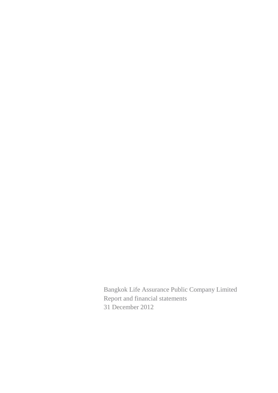Bangkok Life Assurance Public Company Limited Report and financial statements 31 December 2012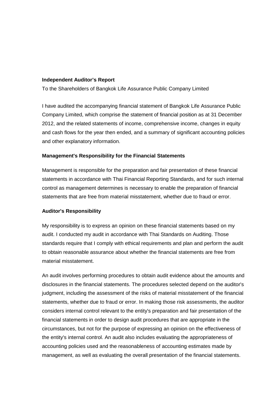### **Independent Auditor's Report**

To the Shareholders of Bangkok Life Assurance Public Company Limited

I have audited the accompanying financial statement of Bangkok Life Assurance Public Company Limited, which comprise the statement of financial position as at 31 December 2012, and the related statements of income, comprehensive income, changes in equity and cash flows for the year then ended, and a summary of significant accounting policies and other explanatory information.

### **Management's Responsibility for the Financial Statements**

Management is responsible for the preparation and fair presentation of these financial statements in accordance with Thai Financial Reporting Standards, and for such internal control as management determines is necessary to enable the preparation of financial statements that are free from material misstatement, whether due to fraud or error.

### **Auditor's Responsibility**

My responsibility is to express an opinion on these financial statements based on my audit. I conducted my audit in accordance with Thai Standards on Auditing. Those standards require that I comply with ethical requirements and plan and perform the audit to obtain reasonable assurance about whether the financial statements are free from material misstatement.

An audit involves performing procedures to obtain audit evidence about the amounts and disclosures in the financial statements. The procedures selected depend on the auditor's judgment, including the assessment of the risks of material misstatement of the financial statements, whether due to fraud or error. In making those risk assessments, the auditor considers internal control relevant to the entity's preparation and fair presentation of the financial statements in order to design audit procedures that are appropriate in the circumstances, but not for the purpose of expressing an opinion on the effectiveness of the entity's internal control. An audit also includes evaluating the appropriateness of accounting policies used and the reasonableness of accounting estimates made by management, as well as evaluating the overall presentation of the financial statements.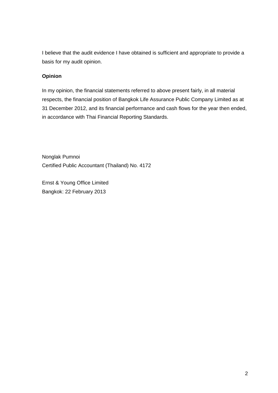I believe that the audit evidence I have obtained is sufficient and appropriate to provide a basis for my audit opinion.

## **Opinion**

In my opinion, the financial statements referred to above present fairly, in all material respects, the financial position of Bangkok Life Assurance Public Company Limited as at 31 December 2012, and its financial performance and cash flows for the year then ended, in accordance with Thai Financial Reporting Standards.

Nonglak Pumnoi Certified Public Accountant (Thailand) No. 4172

Ernst & Young Office Limited Bangkok: 22 February 2013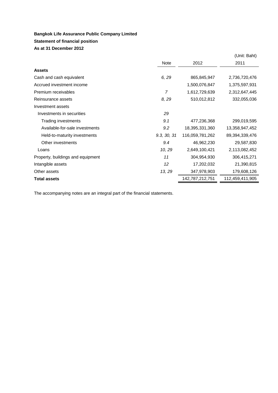# **As at 31 December 2012 Bangkok Life Assurance Public Company Limited Statement of financial position**

|                                   |             |                 | (Unit: Baht)    |
|-----------------------------------|-------------|-----------------|-----------------|
|                                   | <b>Note</b> | 2012            | 2011            |
| <b>Assets</b>                     |             |                 |                 |
| Cash and cash equivalent          | 6, 29       | 865,845,947     | 2,736,720,476   |
| Accrued investment income         |             | 1,500,076,847   | 1,375,597,931   |
| Premium receivables               | 7           | 1,612,729,639   | 2,312,647,445   |
| Reinsurance assets                | 8, 29       | 510,012,812     | 332,055,036     |
| Investment assets                 |             |                 |                 |
| Investments in securities         | 29          |                 |                 |
| Trading investments               | 9.1         | 477,236,368     | 299,019,595     |
| Available-for-sale investments    | 9.2         | 18,395,331,360  | 13,358,947,452  |
| Held-to-maturity investments      | 9.3, 30, 31 | 116,059,781,262 | 89,394,339,476  |
| Other investments                 | 9.4         | 46,962,230      | 29,587,830      |
| Loans                             | 10, 29      | 2,649,100,421   | 2,113,082,452   |
| Property, buildings and equipment | 11          | 304,954,930     | 306,415,271     |
| Intangible assets                 | 12          | 17,202,032      | 21,390,815      |
| Other assets                      | 13, 29      | 347,978,903     | 179,608,126     |
| <b>Total assets</b>               |             | 142,787,212,751 | 112,459,411,905 |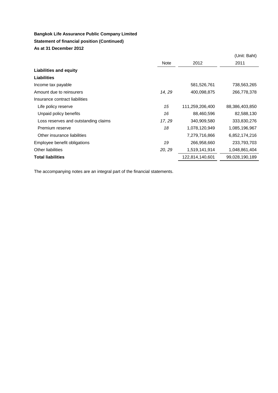## **Bangkok Life Assurance Public Company Limited Statement of financial position (Continued) As at 31 December 2012**

|                                      |             |                 | (Unit: Baht)   |
|--------------------------------------|-------------|-----------------|----------------|
|                                      | <b>Note</b> | 2012            | 2011           |
| <b>Liabilities and equity</b>        |             |                 |                |
| <b>Liabilities</b>                   |             |                 |                |
| Income tax payable                   |             | 581,526,761     | 738,563,265    |
| Amount due to reinsurers             | 14, 29      | 400,098,875     | 266,778,378    |
| Insurance contract liabilities       |             |                 |                |
| Life policy reserve                  | 15          | 111,259,206,400 | 88,386,403,850 |
| Unpaid policy benefits               | 16          | 88,460,596      | 82,588,130     |
| Loss reserves and outstanding claims | 17, 29      | 340,909,580     | 333,830,276    |
| Premium reserve                      | 18          | 1,078,120,949   | 1,085,196,967  |
| Other insurance liabilities          |             | 7,279,716,866   | 6,852,174,216  |
| Employee benefit obligations         | 19          | 266,958,660     | 233,793,703    |
| Other liabilities                    | 20, 29      | 1,519,141,914   | 1,048,861,404  |
| <b>Total liabilities</b>             |             | 122,814,140,601 | 99,028,190,189 |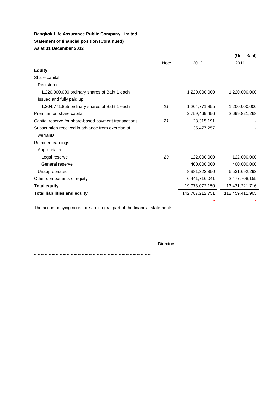## **Bangkok Life Assurance Public Company Limited Statement of financial position (Continued) As at 31 December 2012**

|                                                      |             |                 | (Unit: Baht)    |
|------------------------------------------------------|-------------|-----------------|-----------------|
|                                                      | <b>Note</b> | 2012            | 2011            |
| <b>Equity</b>                                        |             |                 |                 |
| Share capital                                        |             |                 |                 |
| Registered                                           |             |                 |                 |
| 1,220,000,000 ordinary shares of Baht 1 each         |             | 1,220,000,000   | 1,220,000,000   |
| Issued and fully paid up                             |             |                 |                 |
| 1,204,771,855 ordinary shares of Baht 1 each         | 21          | 1,204,771,855   | 1,200,000,000   |
| Premium on share capital                             |             | 2,759,469,456   | 2,699,821,268   |
| Capital reserve for share-based payment transactions | 21          | 28,315,191      |                 |
| Subscription received in advance from exercise of    |             | 35,477,257      |                 |
| warrants                                             |             |                 |                 |
| Retained earnings                                    |             |                 |                 |
| Appropriated                                         |             |                 |                 |
| Legal reserve                                        | 23          | 122,000,000     | 122,000,000     |
| General reserve                                      |             | 400,000,000     | 400,000,000     |
| Unappropriated                                       |             | 8,981,322,350   | 6,531,692,293   |
| Other components of equity                           |             | 6,441,716,041   | 2,477,708,155   |
| <b>Total equity</b>                                  |             | 19,973,072,150  | 13,431,221,716  |
| <b>Total liabilities and equity</b>                  |             | 142,787,212,751 | 112,459,411,905 |
|                                                      |             |                 |                 |

The accompanying notes are an integral part of the financial statements.

**Directors**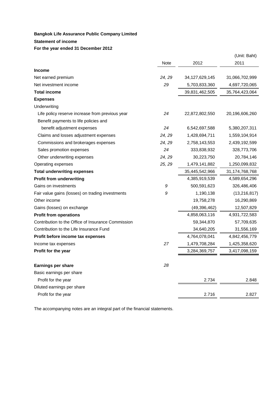**Statement of income** 

#### **For the year ended 31 December 2012**

| Note<br>2012<br>2011<br>24, 29<br>34, 127, 629, 145<br>31,066,702,999<br>29<br>5,703,833,360<br>4,697,720,065<br>39,831,462,505<br>35,764,423,064<br>Life policy reserve increase from previous year<br>24<br>22,872,802,550<br>20,196,606,260<br>Benefit payments to life policies and<br>24<br>5,380,207,311<br>benefit adjustment expenses<br>6,542,697,588<br>Claims and losses adjustment expenses<br>24, 29<br>1,428,694,711<br>1,559,104,914<br>Commissions and brokerages expenses<br>24, 29<br>2,758,143,553<br>2,439,192,599<br>24<br>333,838,932<br>328,773,706<br>Sales promotion expenses<br>24, 29<br>Other underwriting expenses<br>30,223,750<br>20,784,146<br>25, 29<br>1,479,141,882<br>1,250,099,832<br>35,445,542,966<br>31,174,768,768<br>4,385,919,539<br>4,589,654,296<br>9<br>500,591,623<br>326,486,406<br>(13, 216, 817)<br>9<br>1,190,138<br>19,758,278<br>16,290,869<br>(49, 396, 462)<br>12,507,829<br>4,858,063,116<br>4,931,722,583<br>57,709,635<br>59,344,870<br>34,640,205<br>31,556,169<br>4,764,078,041<br>4,842,456,779<br>27<br>1,479,708,284<br>1,425,358,620<br>3,284,369,757<br>3,417,098,159<br>28<br><b>Earnings per share</b><br>Basic earnings per share<br>2.734<br>Profit for the year<br>2.848<br>Diluted earnings per share<br>Profit for the year<br>2.716<br>2.827 |                                                    |  | (Unit: Baht) |
|-----------------------------------------------------------------------------------------------------------------------------------------------------------------------------------------------------------------------------------------------------------------------------------------------------------------------------------------------------------------------------------------------------------------------------------------------------------------------------------------------------------------------------------------------------------------------------------------------------------------------------------------------------------------------------------------------------------------------------------------------------------------------------------------------------------------------------------------------------------------------------------------------------------------------------------------------------------------------------------------------------------------------------------------------------------------------------------------------------------------------------------------------------------------------------------------------------------------------------------------------------------------------------------------------------------------------|----------------------------------------------------|--|--------------|
|                                                                                                                                                                                                                                                                                                                                                                                                                                                                                                                                                                                                                                                                                                                                                                                                                                                                                                                                                                                                                                                                                                                                                                                                                                                                                                                       |                                                    |  |              |
|                                                                                                                                                                                                                                                                                                                                                                                                                                                                                                                                                                                                                                                                                                                                                                                                                                                                                                                                                                                                                                                                                                                                                                                                                                                                                                                       | <b>Income</b>                                      |  |              |
|                                                                                                                                                                                                                                                                                                                                                                                                                                                                                                                                                                                                                                                                                                                                                                                                                                                                                                                                                                                                                                                                                                                                                                                                                                                                                                                       | Net earned premium                                 |  |              |
|                                                                                                                                                                                                                                                                                                                                                                                                                                                                                                                                                                                                                                                                                                                                                                                                                                                                                                                                                                                                                                                                                                                                                                                                                                                                                                                       | Net investment income                              |  |              |
|                                                                                                                                                                                                                                                                                                                                                                                                                                                                                                                                                                                                                                                                                                                                                                                                                                                                                                                                                                                                                                                                                                                                                                                                                                                                                                                       | <b>Total income</b>                                |  |              |
|                                                                                                                                                                                                                                                                                                                                                                                                                                                                                                                                                                                                                                                                                                                                                                                                                                                                                                                                                                                                                                                                                                                                                                                                                                                                                                                       | <b>Expenses</b>                                    |  |              |
|                                                                                                                                                                                                                                                                                                                                                                                                                                                                                                                                                                                                                                                                                                                                                                                                                                                                                                                                                                                                                                                                                                                                                                                                                                                                                                                       | Underwriting                                       |  |              |
|                                                                                                                                                                                                                                                                                                                                                                                                                                                                                                                                                                                                                                                                                                                                                                                                                                                                                                                                                                                                                                                                                                                                                                                                                                                                                                                       |                                                    |  |              |
|                                                                                                                                                                                                                                                                                                                                                                                                                                                                                                                                                                                                                                                                                                                                                                                                                                                                                                                                                                                                                                                                                                                                                                                                                                                                                                                       |                                                    |  |              |
|                                                                                                                                                                                                                                                                                                                                                                                                                                                                                                                                                                                                                                                                                                                                                                                                                                                                                                                                                                                                                                                                                                                                                                                                                                                                                                                       |                                                    |  |              |
|                                                                                                                                                                                                                                                                                                                                                                                                                                                                                                                                                                                                                                                                                                                                                                                                                                                                                                                                                                                                                                                                                                                                                                                                                                                                                                                       |                                                    |  |              |
|                                                                                                                                                                                                                                                                                                                                                                                                                                                                                                                                                                                                                                                                                                                                                                                                                                                                                                                                                                                                                                                                                                                                                                                                                                                                                                                       |                                                    |  |              |
|                                                                                                                                                                                                                                                                                                                                                                                                                                                                                                                                                                                                                                                                                                                                                                                                                                                                                                                                                                                                                                                                                                                                                                                                                                                                                                                       |                                                    |  |              |
|                                                                                                                                                                                                                                                                                                                                                                                                                                                                                                                                                                                                                                                                                                                                                                                                                                                                                                                                                                                                                                                                                                                                                                                                                                                                                                                       |                                                    |  |              |
|                                                                                                                                                                                                                                                                                                                                                                                                                                                                                                                                                                                                                                                                                                                                                                                                                                                                                                                                                                                                                                                                                                                                                                                                                                                                                                                       | Operating expenses                                 |  |              |
|                                                                                                                                                                                                                                                                                                                                                                                                                                                                                                                                                                                                                                                                                                                                                                                                                                                                                                                                                                                                                                                                                                                                                                                                                                                                                                                       | <b>Total underwriting expenses</b>                 |  |              |
|                                                                                                                                                                                                                                                                                                                                                                                                                                                                                                                                                                                                                                                                                                                                                                                                                                                                                                                                                                                                                                                                                                                                                                                                                                                                                                                       | <b>Profit from underwriting</b>                    |  |              |
|                                                                                                                                                                                                                                                                                                                                                                                                                                                                                                                                                                                                                                                                                                                                                                                                                                                                                                                                                                                                                                                                                                                                                                                                                                                                                                                       | Gains on investments                               |  |              |
|                                                                                                                                                                                                                                                                                                                                                                                                                                                                                                                                                                                                                                                                                                                                                                                                                                                                                                                                                                                                                                                                                                                                                                                                                                                                                                                       | Fair value gains (losses) on trading investments   |  |              |
|                                                                                                                                                                                                                                                                                                                                                                                                                                                                                                                                                                                                                                                                                                                                                                                                                                                                                                                                                                                                                                                                                                                                                                                                                                                                                                                       | Other income                                       |  |              |
|                                                                                                                                                                                                                                                                                                                                                                                                                                                                                                                                                                                                                                                                                                                                                                                                                                                                                                                                                                                                                                                                                                                                                                                                                                                                                                                       | Gains (losses) on exchange                         |  |              |
|                                                                                                                                                                                                                                                                                                                                                                                                                                                                                                                                                                                                                                                                                                                                                                                                                                                                                                                                                                                                                                                                                                                                                                                                                                                                                                                       | <b>Profit from operations</b>                      |  |              |
|                                                                                                                                                                                                                                                                                                                                                                                                                                                                                                                                                                                                                                                                                                                                                                                                                                                                                                                                                                                                                                                                                                                                                                                                                                                                                                                       | Contribution to the Office of Insurance Commission |  |              |
|                                                                                                                                                                                                                                                                                                                                                                                                                                                                                                                                                                                                                                                                                                                                                                                                                                                                                                                                                                                                                                                                                                                                                                                                                                                                                                                       | Contribution to the Life Insurance Fund            |  |              |
|                                                                                                                                                                                                                                                                                                                                                                                                                                                                                                                                                                                                                                                                                                                                                                                                                                                                                                                                                                                                                                                                                                                                                                                                                                                                                                                       | Profit before income tax expenses                  |  |              |
|                                                                                                                                                                                                                                                                                                                                                                                                                                                                                                                                                                                                                                                                                                                                                                                                                                                                                                                                                                                                                                                                                                                                                                                                                                                                                                                       | Income tax expenses                                |  |              |
|                                                                                                                                                                                                                                                                                                                                                                                                                                                                                                                                                                                                                                                                                                                                                                                                                                                                                                                                                                                                                                                                                                                                                                                                                                                                                                                       | Profit for the year                                |  |              |
|                                                                                                                                                                                                                                                                                                                                                                                                                                                                                                                                                                                                                                                                                                                                                                                                                                                                                                                                                                                                                                                                                                                                                                                                                                                                                                                       |                                                    |  |              |
|                                                                                                                                                                                                                                                                                                                                                                                                                                                                                                                                                                                                                                                                                                                                                                                                                                                                                                                                                                                                                                                                                                                                                                                                                                                                                                                       |                                                    |  |              |
|                                                                                                                                                                                                                                                                                                                                                                                                                                                                                                                                                                                                                                                                                                                                                                                                                                                                                                                                                                                                                                                                                                                                                                                                                                                                                                                       |                                                    |  |              |
|                                                                                                                                                                                                                                                                                                                                                                                                                                                                                                                                                                                                                                                                                                                                                                                                                                                                                                                                                                                                                                                                                                                                                                                                                                                                                                                       |                                                    |  |              |
|                                                                                                                                                                                                                                                                                                                                                                                                                                                                                                                                                                                                                                                                                                                                                                                                                                                                                                                                                                                                                                                                                                                                                                                                                                                                                                                       |                                                    |  |              |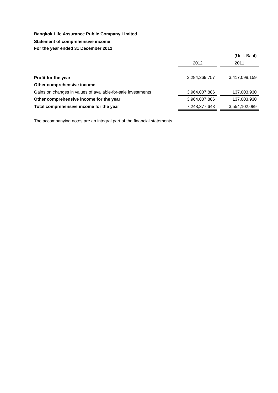#### **Statement of comprehensive income**

**For the year ended 31 December 2012** 

|                                                              | 2012          | (Unit: Baht)<br>2011 |
|--------------------------------------------------------------|---------------|----------------------|
| Profit for the year                                          | 3,284,369,757 | 3,417,098,159        |
| Other comprehensive income                                   |               |                      |
| Gains on changes in values of available-for-sale investments | 3,964,007,886 | 137,003,930          |
| Other comprehensive income for the year                      | 3,964,007,886 | 137,003,930          |
| Total comprehensive income for the year                      | 7,248,377,643 | 3,554,102,089        |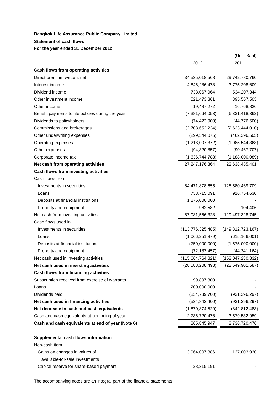**Statement of cash flows**

**For the year ended 31 December 2012** 

|                                                   |                      | (Unit: Baht)         |
|---------------------------------------------------|----------------------|----------------------|
|                                                   | 2012                 | 2011                 |
| Cash flows from operating activities              |                      |                      |
| Direct premium written, net                       | 34,535,018,568       | 29,742,780,760       |
| Interest income                                   | 4,846,286,478        | 3,775,208,609        |
| Dividend income                                   | 733,067,964          | 534,207,344          |
| Other investment income                           | 521,473,361          | 395,567,503          |
| Other income                                      | 19,487,272           | 16,768,826           |
| Benefit payments to life policies during the year | (7,381,664,053)      | (6,331,418,362)      |
| Dividends to policyholders                        | (74, 423, 900)       | (44, 776, 600)       |
| Commissions and brokerages                        | (2,703,652,234)      | (2,623,444,010)      |
| Other underwriting expenses                       | (299, 344, 075)      | (462, 396, 505)      |
| Operating expenses                                | (1,218,007,372)      | (1,085,544,368)      |
| Other expenses                                    | (94, 320, 857)       | (90, 467, 707)       |
| Corporate income tax                              | (1,636,744,788)      | (1, 188, 000, 089)   |
| Net cash from operating activities                | 27,247,176,364       | 22,638,485,401       |
| Cash flows from investing activities              |                      |                      |
| Cash flows from                                   |                      |                      |
| Investments in securities                         | 84,471,878,655       | 128,580,469,709      |
| Loans                                             | 733,715,091          | 916,754,630          |
| Deposits at financial institutions                | 1,875,000,000        |                      |
| Property and equipment                            | 962,582              | 104,406              |
| Net cash from investing activities                | 87,081,556,328       | 129,497,328,745      |
| Cash flows used in                                |                      |                      |
| Investments in securities                         | (113, 776, 325, 485) | (149, 812, 723, 167) |
| Loans                                             | (1,066,251,879)      | (615, 166, 001)      |
| Deposits at financial institutions                | (750,000,000)        | (1,575,000,000)      |
| Property and equipment                            | (72, 187, 457)       | (44, 341, 164)       |
| Net cash used in investing activities             | (115,664,764,821)    | (152,047,230,332)    |
| Net cash used in investing activities             | (28, 583, 208, 493)  | (22, 549, 901, 587)  |
| Cash flows from financing activities              |                      |                      |
| Subscription received from exercise of warrants   | 99,897,300           |                      |
| Loans                                             | 200,000,000          |                      |
| Dividends paid                                    | (834, 739, 700)      | (931, 396, 297)      |
| Net cash used in financing activities             | (534, 842, 400)      | (931, 396, 297)      |
| Net decrease in cash and cash equivalents         | (1,870,874,529)      | (842, 812, 483)      |
| Cash and cash equivalents at beginning of year    | 2,736,720,476        | 3,579,532,959        |
| Cash and cash equivalents at end of year (Note 6) | 865,845,947          | 2,736,720,476        |
| Supplemental cash flows information               |                      |                      |
| Non-cash item                                     |                      |                      |
| Gains on changes in values of                     | 3,964,007,886        | 137,003,930          |
| available-for-sale investments                    |                      |                      |
| Capital reserve for share-based payment           | 28,315,191           |                      |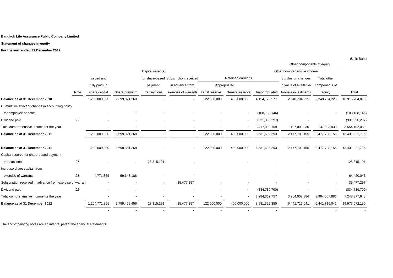#### **Statement of changes in equity**

**For the year ended 31 December 2012** 

|                                                          |      |               |               |                 |                                       |               |                          |                  | Other components of equity |                          |                 |
|----------------------------------------------------------|------|---------------|---------------|-----------------|---------------------------------------|---------------|--------------------------|------------------|----------------------------|--------------------------|-----------------|
|                                                          |      |               |               | Capital reserve |                                       |               |                          |                  | Other comprehensive income |                          |                 |
|                                                          |      | Issued and    |               |                 | for share-based Subscription received |               | Retained earnings        |                  | Surplus on changes         | Total other              |                 |
|                                                          |      | fully paid-up |               | payment         | in advance from                       |               | Appropriated             |                  | in value of available-     | components of            |                 |
|                                                          | Note | share capital | Share premium | transactions    | exercise of warrants                  | Legal reserve | General reserve          | Unappropriated   | for-sale investments       | equity                   | Total           |
| Balance as at 31 December 2010                           |      | 1,200,000,000 | 2,699,821,268 |                 |                                       | 122,000,000   | 400,000,000              | 4, 154, 178, 577 | 2,340,704,225              | 2,340,704,225            | 10,916,704,070  |
| Cumulative effect of change in accounting policy         |      |               |               |                 |                                       |               |                          |                  |                            |                          |                 |
| for employee benefits                                    |      |               |               |                 |                                       |               |                          | (108, 188, 146)  |                            |                          | (108, 188, 146) |
| Dividend paid                                            | 22   |               |               |                 |                                       |               |                          | (931, 396, 297)  |                            |                          | (931, 396, 297) |
| Total comprehensive income for the year                  |      |               |               |                 |                                       |               | $\overline{\phantom{a}}$ | 3,417,098,159    | 137,003,930                | 137,003,930              | 3,554,102,089   |
| Balance as at 31 December 2011                           |      | 1,200,000,000 | 2,699,821,268 |                 |                                       | 122,000,000   | 400,000,000              | 6,531,692,293    | 2,477,708,155              | 2,477,708,155            | 13,431,221,716  |
|                                                          |      |               |               |                 |                                       |               |                          |                  |                            |                          |                 |
| Balance as at 31 December 2011                           |      | 1,200,000,000 | 2,699,821,268 |                 |                                       | 122,000,000   | 400,000,000              | 6,531,692,293    | 2,477,708,155              | 2,477,708,155            | 13,431,221,716  |
| Capital reserve for share-based payment                  |      |               |               |                 |                                       |               |                          |                  |                            |                          |                 |
| transactions                                             | 21   |               |               | 28,315,191      |                                       |               |                          |                  |                            |                          | 28,315,191      |
| Increase share capital from                              |      |               |               |                 |                                       |               |                          |                  |                            |                          |                 |
| exercise of warrants                                     | 21   | 4,771,855     | 59,648,188    |                 |                                       |               |                          |                  |                            | $\overline{\phantom{a}}$ | 64,420,043      |
| Subscription received in advance from exercise of warran |      |               |               |                 | 35,477,257                            |               |                          |                  |                            | $\overline{\phantom{a}}$ | 35,477,257      |
| Dividend paid                                            | 22   |               |               |                 |                                       |               |                          | (834, 739, 700)  |                            |                          | (834, 739, 700) |
| Total comprehensive income for the year                  |      |               |               |                 |                                       |               |                          | 3,284,369,757    | 3,964,007,886              | 3,964,007,886            | 7,248,377,643   |
| Balance as at 31 December 2012                           |      | 1,204,771,855 | 2,759,469,456 | 28,315,191      | 35,477,257                            | 122,000,000   | 400,000,000              | 8,981,322,350    | 6,441,716,041              | 6,441,716,041            | 19,973,072,150  |
|                                                          |      |               |               |                 |                                       |               |                          |                  |                            |                          |                 |

- - - - - - - -

The accompanying notes are an integral part of the financial statements.

-

(Unit: Baht)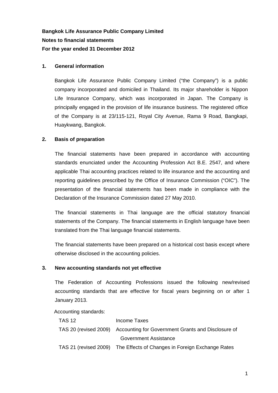**Bangkok Life Assurance Public Company Limited Notes to financial statements For the year ended 31 December 2012** 

## **1. General information**

Bangkok Life Assurance Public Company Limited ("the Company") is a public company incorporated and domiciled in Thailand. Its major shareholder is Nippon Life Insurance Company, which was incorporated in Japan. The Company is principally engaged in the provision of life insurance business. The registered office of the Company is at 23/115-121, Royal City Avenue, Rama 9 Road, Bangkapi, Huaykwang, Bangkok.

## **2. Basis of preparation**

The financial statements have been prepared in accordance with accounting standards enunciated under the Accounting Profession Act B.E. 2547, and where applicable Thai accounting practices related to life insurance and the accounting and reporting guidelines prescribed by the Office of Insurance Commission ("OIC"). The presentation of the financial statements has been made in compliance with the Declaration of the Insurance Commission dated 27 May 2010.

 The financial statements in Thai language are the official statutory financial statements of the Company. The financial statements in English language have been translated from the Thai language financial statements.

 The financial statements have been prepared on a historical cost basis except where otherwise disclosed in the accounting policies.

### **3. New accounting standards not yet effective**

 The Federation of Accounting Professions issued the following new/revised accounting standards that are effective for fiscal years beginning on or after 1 January 2013.

Accounting standards:

| TAS 12 | Income Taxes                                                             |
|--------|--------------------------------------------------------------------------|
|        | TAS 20 (revised 2009) Accounting for Government Grants and Disclosure of |
|        | <b>Government Assistance</b>                                             |
|        | TAS 21 (revised 2009) The Effects of Changes in Foreign Exchange Rates   |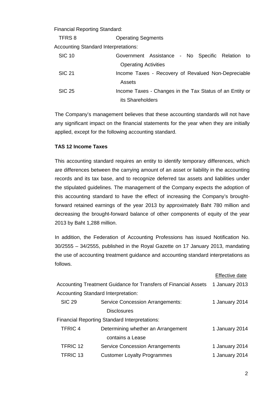Financial Reporting Standard:

| TFRS <sub>8</sub>                           | <b>Operating Segments</b>                                |
|---------------------------------------------|----------------------------------------------------------|
| <b>Accounting Standard Interpretations:</b> |                                                          |
| <b>SIC 10</b>                               | Government Assistance - No Specific Relation to          |
|                                             | <b>Operating Activities</b>                              |
| <b>SIC 21</b>                               | Income Taxes - Recovery of Revalued Non-Depreciable      |
|                                             | Assets                                                   |
| <b>SIC 25</b>                               | Income Taxes - Changes in the Tax Status of an Entity or |
|                                             | its Shareholders                                         |

 The Company's management believes that these accounting standards will not have any significant impact on the financial statements for the year when they are initially applied, except for the following accounting standard.

### **TAS 12 Income Taxes**

 This accounting standard requires an entity to identify temporary differences, which are differences between the carrying amount of an asset or liability in the accounting records and its tax base, and to recognize deferred tax assets and liabilities under the stipulated guidelines. The management of the Company expects the adoption of this accounting standard to have the effect of increasing the Company's broughtforward retained earnings of the year 2013 by approximately Baht 780 million and decreasing the brought-forward balance of other components of equity of the year 2013 by Baht 1,288 million.

 In addition, the Federation of Accounting Professions has issued Notification No. 30/2555 – 34/2555, published in the Royal Gazette on 17 January 2013, mandating the use of accounting treatment guidance and accounting standard interpretations as follows.

|                 |                                                                 | Effective date |
|-----------------|-----------------------------------------------------------------|----------------|
|                 | Accounting Treatment Guidance for Transfers of Financial Assets | 1 January 2013 |
|                 | <b>Accounting Standard Interpretation:</b>                      |                |
| <b>SIC 29</b>   | <b>Service Concession Arrangements:</b>                         | 1 January 2014 |
|                 | <b>Disclosures</b>                                              |                |
|                 | <b>Financial Reporting Standard Interpretations:</b>            |                |
| <b>TFRIC4</b>   | Determining whether an Arrangement                              | 1 January 2014 |
|                 | contains a Lease                                                |                |
| <b>TFRIC 12</b> | <b>Service Concession Arrangements</b>                          | 1 January 2014 |
| <b>TFRIC 13</b> | <b>Customer Loyalty Programmes</b>                              | 1 January 2014 |
|                 |                                                                 |                |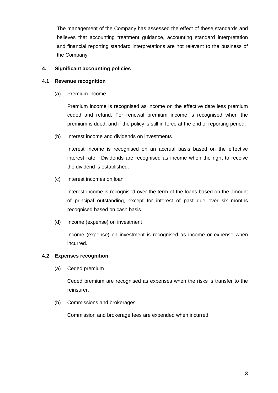The management of the Company has assessed the effect of these standards and believes that accounting treatment guidance, accounting standard interpretation and financial reporting standard interpretations are not relevant to the business of the Company.

## **4. Significant accounting policies**

## **4.1 Revenue recognition**

(a) Premium income

 Premium income is recognised as income on the effective date less premium ceded and refund. For renewal premium income is recognised when the premium is dued, and if the policy is still in force at the end of reporting period.

(b) Interest income and dividends on investments

 Interest income is recognised on an accrual basis based on the effective interest rate. Dividends are recognised as income when the right to receive the dividend is established.

(c) Interest incomes on loan

 Interest income is recognised over the term of the loans based on the amount of principal outstanding, except for interest of past due over six months recognised based on cash basis.

(d) Income (expense) on investment

 Income (expense) on investment is recognised as income or expense when incurred.

# **4.2 Expenses recognition**

(a) Ceded premium

 Ceded premium are recognised as expenses when the risks is transfer to the reinsurer.

(b) Commissions and brokerages

Commission and brokerage fees are expended when incurred.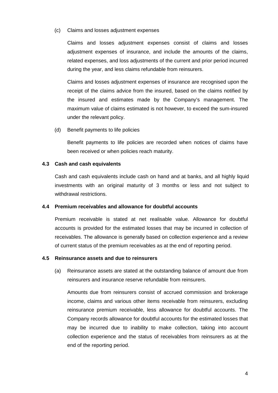#### (c) Claims and losses adjustment expenses

 Claims and losses adjustment expenses consist of claims and losses adjustment expenses of insurance, and include the amounts of the claims, related expenses, and loss adjustments of the current and prior period incurred during the year, and less claims refundable from reinsurers.

 Claims and losses adjustment expenses of insurance are recognised upon the receipt of the claims advice from the insured, based on the claims notified by the insured and estimates made by the Company's management. The maximum value of claims estimated is not however, to exceed the sum-insured under the relevant policy.

(d) Benefit payments to life policies

 Benefit payments to life policies are recorded when notices of claims have been received or when policies reach maturity.

### **4.3 Cash and cash equivalents**

 Cash and cash equivalents include cash on hand and at banks, and all highly liquid investments with an original maturity of 3 months or less and not subject to withdrawal restrictions.

### **4.4 Premium receivables and allowance for doubtful accounts**

Premium receivable is stated at net realisable value. Allowance for doubtful accounts is provided for the estimated losses that may be incurred in collection of receivables. The allowance is generally based on collection experience and a review of current status of the premium receivables as at the end of reporting period.

### **4.5 Reinsurance assets and due to reinsurers**

(a) Reinsurance assets are stated at the outstanding balance of amount due from reinsurers and insurance reserve refundable from reinsurers.

 Amounts due from reinsurers consist of accrued commission and brokerage income, claims and various other items receivable from reinsurers, excluding reinsurance premium receivable, less allowance for doubtful accounts. The Company records allowance for doubtful accounts for the estimated losses that may be incurred due to inability to make collection, taking into account collection experience and the status of receivables from reinsurers as at the end of the reporting period.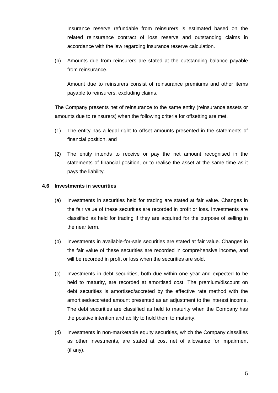Insurance reserve refundable from reinsurers is estimated based on the related reinsurance contract of loss reserve and outstanding claims in accordance with the law regarding insurance reserve calculation.

(b) Amounts due from reinsurers are stated at the outstanding balance payable from reinsurance.

 Amount due to reinsurers consist of reinsurance premiums and other items payable to reinsurers, excluding claims.

 The Company presents net of reinsurance to the same entity (reinsurance assets or amounts due to reinsurers) when the following criteria for offsetting are met.

- (1) The entity has a legal right to offset amounts presented in the statements of financial position, and
- (2) The entity intends to receive or pay the net amount recognised in the statements of financial position, or to realise the asset at the same time as it pays the liability.

### **4.6 Investments in securities**

- (a) Investments in securities held for trading are stated at fair value. Changes in the fair value of these securities are recorded in profit or loss. Investments are classified as held for trading if they are acquired for the purpose of selling in the near term.
- (b) Investments in available-for-sale securities are stated at fair value. Changes in the fair value of these securities are recorded in comprehensive income, and will be recorded in profit or loss when the securities are sold.
- (c) Investments in debt securities, both due within one year and expected to be held to maturity, are recorded at amortised cost. The premium/discount on debt securities is amortised/accreted by the effective rate method with the amortised/accreted amount presented as an adjustment to the interest income. The debt securities are classified as held to maturity when the Company has the positive intention and ability to hold them to maturity.
- (d) Investments in non-marketable equity securities, which the Company classifies as other investments, are stated at cost net of allowance for impairment (if any).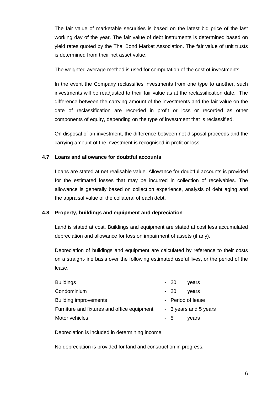The fair value of marketable securities is based on the latest bid price of the last working day of the year. The fair value of debt instruments is determined based on yield rates quoted by the Thai Bond Market Association. The fair value of unit trusts is determined from their net asset value.

The weighted average method is used for computation of the cost of investments.

In the event the Company reclassifies investments from one type to another, such investments will be readjusted to their fair value as at the reclassification date. The difference between the carrying amount of the investments and the fair value on the date of reclassification are recorded in profit or loss or recorded as other components of equity, depending on the type of investment that is reclassified.

 On disposal of an investment, the difference between net disposal proceeds and the carrying amount of the investment is recognised in profit or loss.

## **4.7 Loans and allowance for doubtful accounts**

Loans are stated at net realisable value. Allowance for doubtful accounts is provided for the estimated losses that may be incurred in collection of receivables. The allowance is generally based on collection experience, analysis of debt aging and the appraisal value of the collateral of each debt.

### **4.8 Property, buildings and equipment and depreciation**

 Land is stated at cost. Buildings and equipment are stated at cost less accumulated depreciation and allowance for loss on impairment of assets (if any).

 Depreciation of buildings and equipment are calculated by reference to their costs on a straight-line basis over the following estimated useful lives, or the period of the lease.

| <b>Buildings</b>                            | - 20  | vears                 |
|---------------------------------------------|-------|-----------------------|
| Condominium                                 | $-20$ | vears                 |
| <b>Building improvements</b>                |       | - Period of lease     |
| Furniture and fixtures and office equipment |       | - 3 years and 5 years |
| Motor vehicles                              | - 5   | vears                 |

Depreciation is included in determining income.

No depreciation is provided for land and construction in progress.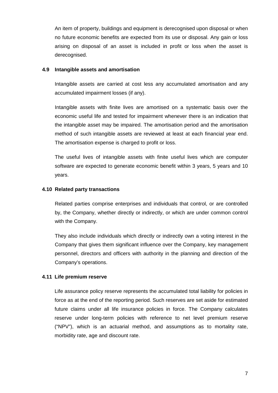An item of property, buildings and equipment is derecognised upon disposal or when no future economic benefits are expected from its use or disposal. Any gain or loss arising on disposal of an asset is included in profit or loss when the asset is derecognised.

#### **4.9 Intangible assets and amortisation**

Intangible assets are carried at cost less any accumulated amortisation and any accumulated impairment losses (if any).

Intangible assets with finite lives are amortised on a systematic basis over the economic useful life and tested for impairment whenever there is an indication that the intangible asset may be impaired. The amortisation period and the amortisation method of such intangible assets are reviewed at least at each financial year end. The amortisation expense is charged to profit or loss.

The useful lives of intangible assets with finite useful lives which are computer software are expected to generate economic benefit within 3 years, 5 years and 10 years.

#### **4.10 Related party transactions**

Related parties comprise enterprises and individuals that control, or are controlled by, the Company, whether directly or indirectly, or which are under common control with the Company.

 They also include individuals which directly or indirectly own a voting interest in the Company that gives them significant influence over the Company, key management personnel, directors and officers with authority in the planning and direction of the Company's operations.

### **4.11 Life premium reserve**

 Life assurance policy reserve represents the accumulated total liability for policies in force as at the end of the reporting period. Such reserves are set aside for estimated future claims under all life insurance policies in force. The Company calculates reserve under long-term policies with reference to net level premium reserve ("NPV"), which is an actuarial method, and assumptions as to mortality rate, morbidity rate, age and discount rate.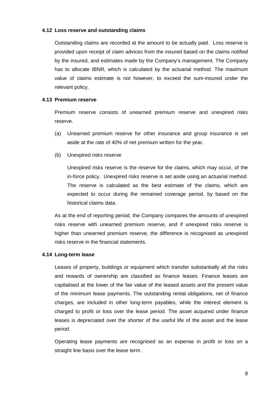### **4.12 Loss reserve and outstanding claims**

 Outstanding claims are recorded at the amount to be actually paid. Loss reserve is provided upon receipt of claim advices from the insured based on the claims notified by the insured, and estimates made by the Company's management. The Company has to allocate IBNR, which is calculated by the actuarial method. The maximum value of claims estimate is not however, to exceed the sum-insured under the relevant policy.

## **4.13 Premium reserve**

 Premium reserve consists of unearned premium reserve and unexpired risks reserve.

- (a) Unearned premium reserve for other insurance and group insurance is set aside at the rate of 40% of net premium written for the year.
- (b) Unexpired risks reserve

Unexpired risks reserve is the reserve for the claims, which may occur, of the in-force policy. Unexpired risks reserve is set aside using an actuarial method. The reserve is calculated as the best estimate of the claims, which are expected to occur during the remained coverage period, by based on the historical claims data.

 As at the end of reporting period, the Company compares the amounts of unexpired risks reserve with unearned premium reserve, and if unexpired risks reserve is higher than unearned premium reserve, the difference is recognised as unexpired risks reserve in the financial statements.

### **4.14 Long-term lease**

 Leases of property, buildings or equipment which transfer substantially all the risks and rewards of ownership are classified as finance leases. Finance leases are capitalised at the lower of the fair value of the leased assets and the present value of the minimum lease payments. The outstanding rental obligations, net of finance charges, are included in other long-term payables, while the interest element is charged to profit or loss over the lease period. The asset acquired under finance leases is depreciated over the shorter of the useful life of the asset and the lease period.

 Operating lease payments are recognised as an expense in profit or loss on a straight line basis over the lease term.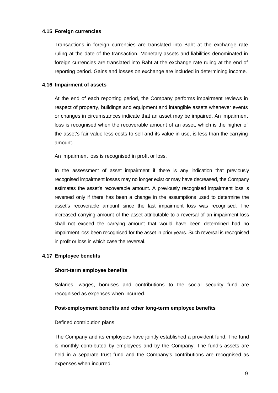#### **4.15 Foreign currencies**

 Transactions in foreign currencies are translated into Baht at the exchange rate ruling at the date of the transaction. Monetary assets and liabilities denominated in foreign currencies are translated into Baht at the exchange rate ruling at the end of reporting period. Gains and losses on exchange are included in determining income.

#### **4.16 Impairment of assets**

 At the end of each reporting period, the Company performs impairment reviews in respect of property, buildings and equipment and intangible assets whenever events or changes in circumstances indicate that an asset may be impaired. An impairment loss is recognised when the recoverable amount of an asset, which is the higher of the asset's fair value less costs to sell and its value in use, is less than the carrying amount.

An impairment loss is recognised in profit or loss.

 In the assessment of asset impairment if there is any indication that previously recognised impairment losses may no longer exist or may have decreased, the Company estimates the asset's recoverable amount. A previously recognised impairment loss is reversed only if there has been a change in the assumptions used to determine the asset's recoverable amount since the last impairment loss was recognised. The increased carrying amount of the asset attributable to a reversal of an impairment loss shall not exceed the carrying amount that would have been determined had no impairment loss been recognised for the asset in prior years. Such reversal is recognised in profit or loss in which case the reversal.

#### **4.17 Employee benefits**

#### **Short-term employee benefits**

 Salaries, wages, bonuses and contributions to the social security fund are recognised as expenses when incurred.

#### **Post-employment benefits and other long-term employee benefits**

#### Defined contribution plans

 The Company and its employees have jointly established a provident fund. The fund is monthly contributed by employees and by the Company. The fund's assets are held in a separate trust fund and the Company's contributions are recognised as expenses when incurred.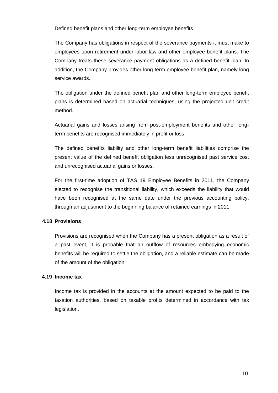## Defined benefit plans and other long-term employee benefits

 The Company has obligations in respect of the severance payments it must make to employees upon retirement under labor law and other employee benefit plans. The Company treats these severance payment obligations as a defined benefit plan. In addition, the Company provides other long-term employee benefit plan, namely long service awards.

 The obligation under the defined benefit plan and other long-term employee benefit plans is determined based on actuarial techniques, using the projected unit credit method.

 Actuarial gains and losses arising from post-employment benefits and other longterm benefits are recognised immediately in profit or loss.

 The defined benefits liability and other long-term benefit liabilities comprise the present value of the defined benefit obligation less unrecognised past service cost and unrecognised actuarial gains or losses.

 For the first-time adoption of TAS 19 Employee Benefits in 2011, the Company elected to recognise the transitional liability, which exceeds the liability that would have been recognised at the same date under the previous accounting policy, through an adjustment to the beginning balance of retained earnings in 2011.

### **4.18 Provisions**

 Provisions are recognised when the Company has a present obligation as a result of a past event, it is probable that an outflow of resources embodying economic benefits will be required to settle the obligation, and a reliable estimate can be made of the amount of the obligation.

### **4.19 Income tax**

 Income tax is provided in the accounts at the amount expected to be paid to the taxation authorities, based on taxable profits determined in accordance with tax legislation.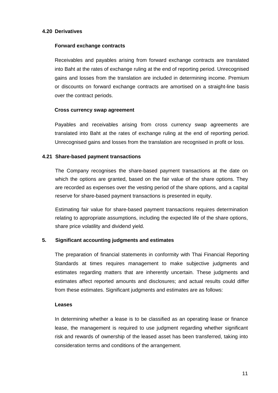#### **4.20 Derivatives**

#### **Forward exchange contracts**

 Receivables and payables arising from forward exchange contracts are translated into Baht at the rates of exchange ruling at the end of reporting period. Unrecognised gains and losses from the translation are included in determining income. Premium or discounts on forward exchange contracts are amortised on a straight-line basis over the contract periods.

#### **Cross currency swap agreement**

 Payables and receivables arising from cross currency swap agreements are translated into Baht at the rates of exchange ruling at the end of reporting period. Unrecognised gains and losses from the translation are recognised in profit or loss.

### **4.21 Share-based payment transactions**

 The Company recognises the share-based payment transactions at the date on which the options are granted, based on the fair value of the share options. They are recorded as expenses over the vesting period of the share options, and a capital reserve for share-based payment transactions is presented in equity.

 Estimating fair value for share-based payment transactions requires determination relating to appropriate assumptions, including the expected life of the share options, share price volatility and dividend yield.

### **5. Significant accounting judgments and estimates**

 The preparation of financial statements in conformity with Thai Financial Reporting Standards at times requires management to make subjective judgments and estimates regarding matters that are inherently uncertain. These judgments and estimates affect reported amounts and disclosures; and actual results could differ from these estimates. Significant judgments and estimates are as follows:

#### **Leases**

In determining whether a lease is to be classified as an operating lease or finance lease, the management is required to use judgment regarding whether significant risk and rewards of ownership of the leased asset has been transferred, taking into consideration terms and conditions of the arrangement.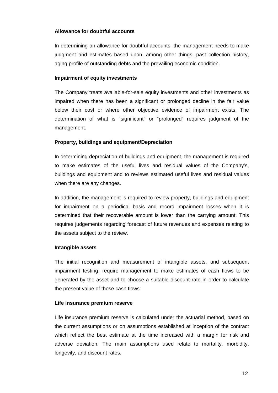### **Allowance for doubtful accounts**

 In determining an allowance for doubtful accounts, the management needs to make judgment and estimates based upon, among other things, past collection history, aging profile of outstanding debts and the prevailing economic condition.

### **Impairment of equity investments**

 The Company treats available-for-sale equity investments and other investments as impaired when there has been a significant or prolonged decline in the fair value below their cost or where other objective evidence of impairment exists. The determination of what is "significant" or "prolonged" requires judgment of the management.

### **Property, buildings and equipment/Depreciation**

 In determining depreciation of buildings and equipment, the management is required to make estimates of the useful lives and residual values of the Company's, buildings and equipment and to reviews estimated useful lives and residual values when there are any changes.

 In addition, the management is required to review property, buildings and equipment for impairment on a periodical basis and record impairment losses when it is determined that their recoverable amount is lower than the carrying amount. This requires judgements regarding forecast of future revenues and expenses relating to the assets subject to the review.

### **Intangible assets**

 The initial recognition and measurement of intangible assets, and subsequent impairment testing, require management to make estimates of cash flows to be generated by the asset and to choose a suitable discount rate in order to calculate the present value of those cash flows.

### **Life insurance premium reserve**

 Life insurance premium reserve is calculated under the actuarial method, based on the current assumptions or on assumptions established at inception of the contract which reflect the best estimate at the time increased with a margin for risk and adverse deviation. The main assumptions used relate to mortality, morbidity, longevity, and discount rates.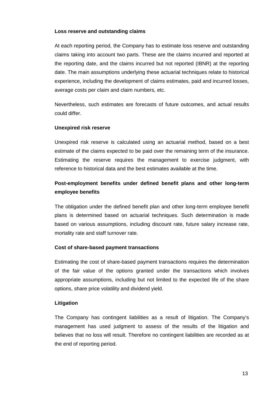### **Loss reserve and outstanding claims**

 At each reporting period, the Company has to estimate loss reserve and outstanding claims taking into account two parts. These are the claims incurred and reported at the reporting date, and the claims incurred but not reported (IBNR) at the reporting date. The main assumptions underlying these actuarial techniques relate to historical experience, including the development of claims estimates, paid and incurred losses, average costs per claim and claim numbers, etc.

 Nevertheless, such estimates are forecasts of future outcomes, and actual results could differ.

## **Unexpired risk reserve**

 Unexpired risk reserve is calculated using an actuarial method, based on a best estimate of the claims expected to be paid over the remaining term of the insurance. Estimating the reserve requires the management to exercise judgment, with reference to historical data and the best estimates available at the time.

# **Post-employment benefits under defined benefit plans and other long-term employee benefits**

 The obligation under the defined benefit plan and other long-term employee benefit plans is determined based on actuarial techniques. Such determination is made based on various assumptions, including discount rate, future salary increase rate, mortality rate and staff turnover rate.

### **Cost of share-based payment transactions**

 Estimating the cost of share-based payment transactions requires the determination of the fair value of the options granted under the transactions which involves appropriate assumptions, including but not limited to the expected life of the share options, share price volatility and dividend yield.

## **Litigation**

 The Company has contingent liabilities as a result of litigation. The Company's management has used judgment to assess of the results of the litigation and believes that no loss will result. Therefore no contingent liabilities are recorded as at the end of reporting period.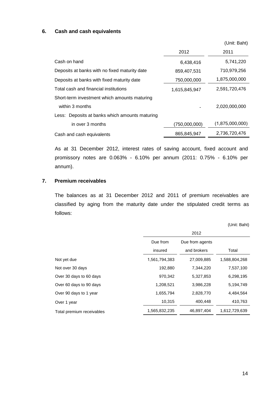### **6. Cash and cash equivalents**

|                                                |               | (Unit: Baht)    |
|------------------------------------------------|---------------|-----------------|
|                                                | 2012          | 2011            |
| Cash on hand                                   | 6,438,416     | 5,741,220       |
| Deposits at banks with no fixed maturity date  | 859,407,531   | 710,979,256     |
| Deposits at banks with fixed maturity date     | 750,000,000   | 1,875,000,000   |
| Total cash and financial institutions          | 1,615,845,947 | 2,591,720,476   |
| Short-term investment which amounts maturing   |               |                 |
| within 3 months                                |               | 2,020,000,000   |
| Less: Deposits at banks which amounts maturing |               |                 |
| in over 3 months                               | (750,000,000) | (1,875,000,000) |
| Cash and cash equivalents                      | 865,845,947   | 2,736,720,476   |

 As at 31 December 2012, interest rates of saving account, fixed account and promissory notes are 0.063% - 6.10% per annum (2011: 0.75% - 6.10% per annum).

### **7. Premium receivables**

 The balances as at 31 December 2012 and 2011 of premium receivables are classified by aging from the maturity date under the stipulated credit terms as follows:

|  | (Unit: Baht) |
|--|--------------|
|  |              |

|                           | 2012                                                  |            |               |  |  |  |
|---------------------------|-------------------------------------------------------|------------|---------------|--|--|--|
|                           | Due from<br>Due from agents<br>and brokers<br>insured |            |               |  |  |  |
|                           |                                                       |            | Total         |  |  |  |
| Not yet due               | 1,561,794,383                                         | 27,009,885 | 1,588,804,268 |  |  |  |
| Not over 30 days          | 192,880                                               | 7,344,220  | 7,537,100     |  |  |  |
| Over 30 days to 60 days   | 970,342                                               | 5,327,853  | 6,298,195     |  |  |  |
| Over 60 days to 90 days   | 1,208,521                                             | 3,986,228  | 5,194,749     |  |  |  |
| Over 90 days to 1 year    | 1,655,794                                             | 2,828,770  | 4,484,564     |  |  |  |
| Over 1 year               | 10,315                                                | 400,448    | 410,763       |  |  |  |
| Total premium receivables | 1,565,832,235                                         | 46,897,404 | 1,612,729,639 |  |  |  |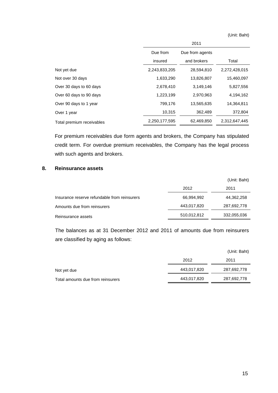(Unit: Baht)

|                           | 2011          |                 |               |  |  |  |
|---------------------------|---------------|-----------------|---------------|--|--|--|
|                           | Due from      | Due from agents |               |  |  |  |
|                           | insured       | and brokers     | Total         |  |  |  |
| Not yet due               | 2,243,833,205 | 28,594,810      | 2,272,428,015 |  |  |  |
| Not over 30 days          | 1,633,290     | 13,826,807      | 15,460,097    |  |  |  |
| Over 30 days to 60 days   | 2,678,410     | 3,149,146       | 5,827,556     |  |  |  |
| Over 60 days to 90 days   | 1,223,199     | 2,970,963       | 4,194,162     |  |  |  |
| Over 90 days to 1 year    | 799,176       | 13,565,635      | 14,364,811    |  |  |  |
| Over 1 year               | 10,315        | 362,489         | 372,804       |  |  |  |
| Total premium receivables | 2,250,177,595 | 62,469,850      | 2,312,647,445 |  |  |  |

 For premium receivables due form agents and brokers, the Company has stipulated credit term. For overdue premium receivables, the Company has the legal process with such agents and brokers.

#### **8. Reinsurance assets**

|                                              |             | (Unit: Baht) |
|----------------------------------------------|-------------|--------------|
|                                              | 2012        | 2011         |
| Insurance reserve refundable from reinsurers | 66,994,992  | 44,362,258   |
| Amounts due from reinsurers                  | 443,017,820 | 287,692,778  |
| Reinsurance assets                           | 510,012,812 | 332,055,036  |

The balances as at 31 December 2012 and 2011 of amounts due from reinsurers are classified by aging as follows:

|                                   |             | (Unit: Baht) |
|-----------------------------------|-------------|--------------|
|                                   | 2012        | 2011         |
| Not vet due                       | 443,017,820 | 287,692,778  |
| Total amounts due from reinsurers | 443,017,820 | 287,692,778  |
|                                   |             |              |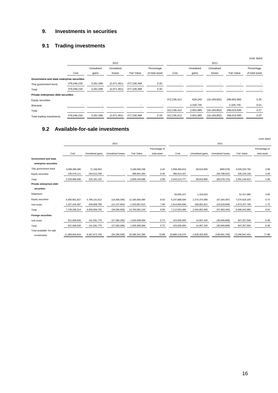# **9. Investments in securities**

# **9.1 Trading investments**

|                                            |             |            |                          |             |                |             |                          |                          |             | (Unit: Baht)   |
|--------------------------------------------|-------------|------------|--------------------------|-------------|----------------|-------------|--------------------------|--------------------------|-------------|----------------|
|                                            |             |            | 2012                     |             |                |             | 2011                     |                          |             |                |
|                                            |             | Unrealised | Unrealised               |             | Percentage     |             | Unrealised               | Unrealised               |             | Percentage     |
|                                            | Cost        | gains      | losses                   | Fair Value  | of total asset | Cost        | gains                    | losses                   | Fair Value  | of total asset |
| Government and state enterprise securities |             |            |                          |             |                |             |                          |                          |             |                |
| Thai government bond                       | 476,046,230 | 3,261,599  | (2,071,461)              | 477,236,368 | 0.33           |             | $\overline{\phantom{a}}$ | $\overline{\phantom{a}}$ |             |                |
| Total                                      | 476,046,230 | 3,261,599  | (2,071,461)              | 477,236,368 | 0.33           |             |                          |                          |             |                |
| Private enterprises debt securities        |             |            |                          |             |                |             |                          |                          |             |                |
| Equity securities                          |             |            |                          |             |                | 312,236,412 | 626,240                  | (16, 169, 802)           | 296,692,850 | 0.26           |
| Warrants                                   |             |            |                          |             |                |             | 2,326,745                |                          | 2,326,745   | 0.01           |
| Total                                      | ۰           |            | $\overline{\phantom{a}}$ |             | ۰              | 312,236,412 | 2,952,985                | (16, 169, 802)           | 299,019,595 | 0.27           |
| Total trading investments                  | 476,046,230 | 3,261,599  | (2,071,461)              | 477,236,368 | 0.33           | 312,236,412 | 2,952,985                | (16, 169, 802)           | 299,019,595 | 0.27           |
|                                            |             |            |                          |             |                |             |                          |                          |             |                |

## **9.2 Available-for-sale investments**

|                           |                |                  |                          |                |               |                |                  |                          |                | (Unit: Baht)  |  |
|---------------------------|----------------|------------------|--------------------------|----------------|---------------|----------------|------------------|--------------------------|----------------|---------------|--|
|                           |                |                  | 2012                     |                |               |                | 2011             |                          |                |               |  |
|                           |                |                  |                          |                | Percentage of |                |                  |                          |                | Percentage of |  |
|                           | Cost           | Unrealised gains | Unrealised losses        | Fair Value     | total asset   | Cost           | Unrealised gains | <b>Unrealised losses</b> | Fair Value     | total asset   |  |
| Government and state      |                |                  |                          |                |               |                |                  |                          |                |               |  |
| enterprise securities     |                |                  |                          |                |               |                |                  |                          |                |               |  |
| Thai government bond      | 3,098,389,385  | 71,168,953       | $\overline{\phantom{a}}$ | 3,169,558,338  | 2.22          | 2,958,300,610  | 68,610,850       | (890, 678)               | 3,026,020,782  | 2.69          |  |
| Equity securities         | 235,579,111    | 254,012,239      |                          | 489,591,350    | 0.34          | 385,914,167    |                  | (59, 788, 037)           | 326,126,130    | 0.29          |  |
| Total                     | 3,333,968,496  | 325, 181, 192    |                          | 3,659,149,688  | 2.56          | 3,344,214,777  | 68,610,850       | (60, 678, 715)           | 3,352,146,912  | 2.98          |  |
| Private enterprises debt  |                |                  |                          |                |               |                |                  |                          |                |               |  |
| securities                |                |                  |                          |                |               |                |                  |                          |                |               |  |
| Debenture                 |                |                  | $\overline{\phantom{a}}$ |                |               | 50,000,157     | 1,416,923        |                          | 51,417,080     | 0.05          |  |
| Equity securities         | 6,400,851,827  | 5,796,101,012    | (16, 458, 349)           | 12,180,494,490 | 8.53          | 5,247,888,506  | 2,374,374,096    | (47, 344, 497)           | 7,574,918,105  | 6.74          |  |
| Unit trusts               | 1,327,416,487  | 204,808,780      | (12, 137, 654)           | 1,520,087,613  | 1.06          | 1,814,664,836  | 169,061,811      | (10,618,848)             | 1,973,107,799  | 1.75          |  |
| Total                     | 7,728,268,314  | 6,000,909,792    | (28,596,003)             | 13,700,582,103 | 9.59          | 7,112,553,499  | 2,544,852,830    | (57, 963, 345)           | 9,599,442,984  | 8.54          |  |
| <b>Foreign securities</b> |                |                  |                          |                |               |                |                  |                          |                |               |  |
| Unit trusts               | 921,608,000    | 141,581,775      | (27,590,206)             | 1,035,599,569  | 0.73          | 423,350,000    | 14,957,245       | (30, 949, 689)           | 407,357,556    | 0.36          |  |
| Total                     | 921,608,000    | 141,581,775      | (27,590,206)             | 1,035,599,569  | 0.73          | 423,350,000    | 14,957,245       | (30, 949, 689)           | 407,357,556    | 0.36          |  |
| Total available- for-sale |                |                  |                          |                |               |                |                  |                          |                |               |  |
| investments               | 11,983,844,810 | 6,467,672,759    | (56, 186, 209)           | 18,395,331,360 | 12.88         | 10,880,118,276 | 2,628,420,925    | (149, 591, 749)          | 13,358,947,452 | 11.88         |  |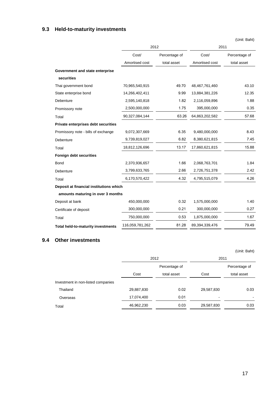# **9.3 Held-to-maturity investments**

(Unit: Baht)

|                                         |                 | 2012          | 2011           |               |  |  |
|-----------------------------------------|-----------------|---------------|----------------|---------------|--|--|
|                                         | Cost/           | Percentage of | Cost/          | Percentage of |  |  |
|                                         | Amortised cost  | total asset   | Amortised cost | total asset   |  |  |
| Government and state enterprise         |                 |               |                |               |  |  |
| securities                              |                 |               |                |               |  |  |
| Thai government bond                    | 70,965,540,915  | 49.70         | 48,467,761,460 | 43.10         |  |  |
| State enterprise bond                   | 14,266,402,411  | 9.99          | 13,884,381,226 | 12.35         |  |  |
| Debenture                               | 2,595,140,818   | 1.82          | 2,116,059,896  | 1.88          |  |  |
| Promissory note                         | 2,500,000,000   | 1.75          | 395,000,000    | 0.35          |  |  |
| Total                                   | 90,327,084,144  | 63.26         | 64,863,202,582 | 57.68         |  |  |
| Private enterprises debt securities     |                 |               |                |               |  |  |
| Promissory note - bills of exchange     | 9,072,307,669   | 6.35          | 9,480,000,000  | 8.43          |  |  |
| Debenture                               | 9,739,819,027   | 6.82          | 8,380,621,815  | 7.45          |  |  |
| Total                                   | 18,812,126,696  | 13.17         | 17,860,621,815 | 15.88         |  |  |
| <b>Foreign debt securities</b>          |                 |               |                |               |  |  |
| <b>Bond</b>                             | 2,370,936,657   | 1.66          | 2,068,763,701  | 1.84          |  |  |
| Debenture                               | 3,799,633,765   | 2.66          | 2,726,751,378  | 2.42          |  |  |
| Total                                   | 6,170,570,422   | 4.32          | 4,795,515,079  | 4.26          |  |  |
| Deposit at financial institutions which |                 |               |                |               |  |  |
| amounts maturing in over 3 months       |                 |               |                |               |  |  |
| Deposit at bank                         | 450,000,000     | 0.32          | 1,575,000,000  | 1.40          |  |  |
| Certificate of deposit                  | 300,000,000     | 0.21          | 300,000,000    | 0.27          |  |  |
| Total                                   | 750,000,000     | 0.53          | 1,875,000,000  | 1.67          |  |  |
| Total held-to-maturity investments      | 116,059,781,262 | 81.28         | 89,394,339,476 | 79.49         |  |  |

# **9.4 Other investments**

|                                    |            |               |            | (Unit: Baht)  |  |
|------------------------------------|------------|---------------|------------|---------------|--|
|                                    |            | 2012          | 2011       |               |  |
|                                    |            | Percentage of |            | Percentage of |  |
|                                    | Cost       | total asset   | Cost       | total asset   |  |
| Investment in non-listed companies |            |               |            |               |  |
| Thailand                           | 29,887,830 | 0.02          | 29,587,830 | 0.03          |  |
| Overseas                           | 17,074,400 | 0.01          |            |               |  |
| Total                              | 46,962,230 | 0.03          | 29,587,830 | 0.03          |  |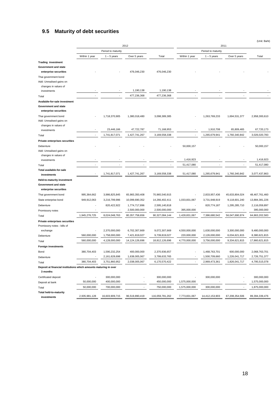# **9.5 Maturity of debt securities**

|                                                                  |                          |                                |                          |                                |                          |                                |                          | (Unit: Baht)                   |
|------------------------------------------------------------------|--------------------------|--------------------------------|--------------------------|--------------------------------|--------------------------|--------------------------------|--------------------------|--------------------------------|
|                                                                  |                          |                                | 2012                     |                                |                          |                                |                          |                                |
|                                                                  |                          | Period to maturity             |                          |                                |                          | Period to maturity             |                          |                                |
|                                                                  | Within 1 year            | $1 - 5$ years                  | Over 5 years             | Total                          | Within 1 year            | $1 - 5$ years                  | Over 5 years             | Total                          |
| <b>Trading investment</b>                                        |                          |                                |                          |                                |                          |                                |                          |                                |
| Government and state                                             |                          |                                |                          |                                |                          |                                |                          |                                |
| enterprise securities                                            |                          |                                | 476,046,230              | 476,046,230                    |                          |                                |                          |                                |
| Thai government bond                                             |                          |                                |                          |                                |                          |                                |                          |                                |
| Add: Unrealised gains on                                         |                          |                                |                          |                                |                          |                                |                          |                                |
| changes in values of                                             |                          |                                |                          |                                |                          |                                |                          |                                |
| investments                                                      |                          |                                | 1,190,138                | 1,190,138                      |                          |                                |                          |                                |
| Total                                                            | $\sim$                   | ×.                             | 477,236,368              | 477,236,368                    |                          |                                |                          |                                |
| Available-for-sale investment                                    |                          |                                |                          |                                |                          |                                |                          |                                |
| Government and state                                             |                          |                                |                          |                                |                          |                                |                          |                                |
| enterprise securities                                            |                          |                                |                          |                                |                          |                                |                          |                                |
| Thai government bond                                             |                          | 1,718,370,905                  | 1,380,018,480            | 3,098,389,385                  |                          | 1,263,769,233                  | 1,694,531,377            | 2,958,300,610                  |
| Add: Unrealised gains on                                         |                          |                                |                          |                                |                          |                                |                          |                                |
| changes in values of<br>investments                              |                          | 23,446,166                     | 47,722,787               | 71,168,953                     |                          | 1,910,708                      | 65,809,465               | 67,720,173                     |
|                                                                  | $\overline{\phantom{a}}$ | 1,741,817,071                  | 1,427,741,267            | 3,169,558,338                  | $\overline{\phantom{a}}$ | 1,265,679,941                  | 1,760,340,842            | 3,026,020,783                  |
| Total                                                            |                          |                                |                          |                                |                          |                                |                          |                                |
| Private enterprises securities                                   |                          |                                |                          |                                |                          |                                |                          |                                |
| Debenture                                                        |                          |                                |                          |                                | 50,000,157               |                                |                          | 50,000,157                     |
| Add: Unrealised gains on                                         |                          |                                |                          |                                |                          |                                |                          |                                |
| changes in values of<br>investments                              |                          |                                |                          |                                | 1,416,923                |                                |                          | 1,416,923                      |
| Total                                                            |                          |                                |                          |                                | 51,417,080               |                                |                          | 51,417,080                     |
| <b>Total available-for-sale</b>                                  |                          |                                |                          |                                |                          |                                |                          |                                |
| investments                                                      | $\overline{\phantom{a}}$ | 1,741,817,071                  | 1,427,741,267            | 3,169,558,338                  | 51,417,080               | 1,265,679,941                  | 1,760,340,842            | 3,077,437,863                  |
| Held-to-maturity investment                                      |                          |                                |                          |                                |                          |                                |                          |                                |
| Government and state                                             |                          |                                |                          |                                |                          |                                |                          |                                |
| enterprise securities                                            |                          |                                |                          |                                |                          |                                |                          |                                |
| Thai government bond                                             | 995,364,662              | 3,986,825,845                  | 65,983,350,408           | 70,965,540,915                 |                          | 2,833,957,436                  | 45,633,804,024           | 48,467,761,460                 |
| State enterprise bond                                            | 949,912,063              | 3,216,799,996                  | 10,099,690,352           | 14,266,402,411                 | 1,033,831,067            | 3,731,948,919                  | 9,118,601,240            | 13,884,381,226                 |
| Debenture                                                        |                          | 820,422,922                    | 1,774,717,896            | 2,595,140,818                  |                          | 820,774,187                    | 1,295,285,710            | 2,116,059,897                  |
| Promissory notes                                                 |                          |                                | 2,500,000,000            | 2,500,000,000                  | 395,000,000              |                                |                          | 395,000,000                    |
| Total                                                            | 1,945,276,725            | 8,024,048,763                  | 80,357,758,656           | 90,327,084,144                 | 1,428,831,067            | 7,386,680,542                  | 56,047,690,974           | 64,863,202,583                 |
| Private enterprises securities                                   |                          |                                |                          |                                |                          |                                |                          |                                |
| Promissory notes - bills of                                      |                          |                                |                          |                                |                          |                                |                          |                                |
| exchange                                                         |                          | 2,370,000,000                  | 6,702,307,669            | 9,072,307,669                  | 4,550,000,000            | 1,630,000,000                  | 3,300,000,000            | 9,480,000,000                  |
| Debenture                                                        | 560,000,000              | 1,758,000,000                  | 7,421,819,027            | 9,739,819,027                  | 220,000,000              | 2,126,000,000                  | 6,034,621,815            | 8,380,621,815                  |
| Total                                                            | 560,000,000              | 4,128,000,000                  | 14,124,126,696           | 18,812,126,696                 | 4,770,000,000            | 3,756,000,000                  | 9,334,621,815            | 17,860,621,815                 |
| <b>Foreign investments</b>                                       |                          |                                |                          |                                |                          |                                |                          |                                |
|                                                                  | 380,704,403              |                                | 400,000,000              |                                | ÷                        |                                | 600,000,000              |                                |
| Bond                                                             |                          | 1,590,232,254<br>2,161,628,698 | 1,638,005,067            | 2,370,936,657<br>3,799,633,765 |                          | 1,468,763,701<br>1,500,709,660 | 1,226,041,717            | 2,068,763,701<br>2,726,751,377 |
| Debenture                                                        | 380,704,403              |                                | 2,038,005,067            |                                |                          |                                |                          |                                |
| Total                                                            |                          | 3,751,860,952                  |                          | 6,170,570,422                  |                          | 2,969,473,361                  | 1,826,041,717            | 4,795,515,078                  |
| Deposit at financial institutions which amounts maturing in over |                          |                                |                          |                                |                          |                                |                          |                                |
| 3 months                                                         |                          |                                |                          |                                |                          |                                |                          |                                |
| Certificated deposit                                             | 50,000,000               | 300,000,000                    |                          | 300,000,000                    |                          | 300,000,000                    |                          | 300,000,000<br>1,575,000,000   |
| Deposit at bank                                                  | 50,000,000               | 400,000,000                    | $\overline{\phantom{a}}$ | 450,000,000                    | 1,575,000,000            | 300,000,000                    | $\overline{\phantom{a}}$ |                                |
| Total                                                            |                          | 700,000,000                    |                          | 750,000,000                    | 1,575,000,000            |                                |                          | 1,875,000,000                  |
| Total held-to-maturity<br>investments                            | 2,935,981,128            | 16,603,909,715                 | 96,519,890,419           | 116,059,781,262                | 7,773,831,067            | 14,412,153,903                 | 67,208,354,506           | 89,394,339,476                 |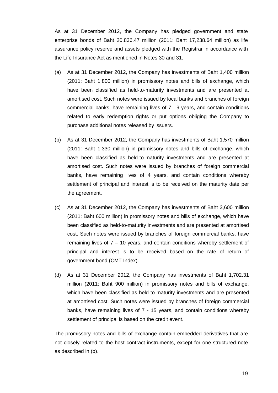As at 31 December 2012, the Company has pledged government and state enterprise bonds of Baht 20,836.47 million (2011: Baht 17,238.64 million) as life assurance policy reserve and assets pledged with the Registrar in accordance with the Life Insurance Act as mentioned in Notes 30 and 31.

- (a) As at 31 December 2012, the Company has investments of Baht 1,400 million (2011: Baht 1,800 million) in promissory notes and bills of exchange, which have been classified as held-to-maturity investments and are presented at amortised cost. Such notes were issued by local banks and branches of foreign commercial banks, have remaining lives of 7 - 9 years, and contain conditions related to early redemption rights or put options obliging the Company to purchase additional notes released by issuers.
- (b) As at 31 December 2012, the Company has investments of Baht 1,570 million (2011: Baht 1,330 million) in promissory notes and bills of exchange, which have been classified as held-to-maturity investments and are presented at amortised cost. Such notes were issued by branches of foreign commercial banks, have remaining lives of 4 years, and contain conditions whereby settlement of principal and interest is to be received on the maturity date per the agreement.
- (c) As at 31 December 2012, the Company has investments of Baht 3,600 million (2011: Baht 600 million) in promissory notes and bills of exchange, which have been classified as held-to-maturity investments and are presented at amortised cost. Such notes were issued by branches of foreign commercial banks, have remaining lives of 7 – 10 years, and contain conditions whereby settlement of principal and interest is to be received based on the rate of return of government bond (CMT Index).
- (d) As at 31 December 2012, the Company has investments of Baht 1,702.31 million (2011: Baht 900 million) in promissory notes and bills of exchange, which have been classified as held-to-maturity investments and are presented at amortised cost. Such notes were issued by branches of foreign commercial banks, have remaining lives of 7 - 15 years, and contain conditions whereby settlement of principal is based on the credit event.

The promissory notes and bills of exchange contain embedded derivatives that are not closely related to the host contract instruments, except for one structured note as described in (b).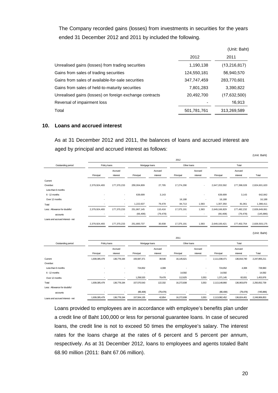The Company recorded gains (losses) from investments in securities for the years ended 31 December 2012 and 2011 by included the following.

|                                                         |             | (Unit: Baht)   |
|---------------------------------------------------------|-------------|----------------|
|                                                         | 2012        | 2011           |
| Unrealised gains (losses) from trading securities       | 1,190,138   | (13, 216, 817) |
| Gains from sales of trading securities                  | 124,550,181 | 56,940,570     |
| Gains from sales of available-for-sale securities       | 347,747,459 | 283,770,601    |
| Gains from sales of held-to-maturity securities         | 7,801,283   | 3,390,822      |
| Unrealised gains (losses) on foreign exchange contracts | 20,492,700  | (17,632,500)   |
| Reversal of impairment loss                             |             | 16,913         |
| Total                                                   | 501,781,761 | 313,269,589    |

### **10. Loans and accrued interest**

 As at 31 December 2012 and 2011, the balances of loans and accrued interest are aged by principal and accrued interest as follows:

|                                  |               |             |                          |                          | 2012                     |                          |               |                          |               |
|----------------------------------|---------------|-------------|--------------------------|--------------------------|--------------------------|--------------------------|---------------|--------------------------|---------------|
| Outstanding period               | Policy loans  |             | Mortgage loans           |                          | Other loans              |                          | Total         |                          |               |
|                                  |               | Accrued     |                          | Accrued                  |                          | Accrued                  |               | Accrued                  |               |
|                                  | Principal     | interest    | Principal                | interest                 | Principal                | interest                 | Principal     | interest                 | Total         |
| Current                          |               |             |                          |                          |                          |                          |               |                          |               |
| Overdue:                         | 2,379,924,493 | 177,370,233 | 250,004,809              | 27,795                   | 17,274,290               | $\overline{\phantom{a}}$ | 2,647,203,592 | 177,398,028              | 2,824,601,620 |
| Less than 6 months               |               |             |                          |                          |                          |                          |               |                          |               |
| 6 - 12 months                    |               |             | 639,699                  | 3,143                    | $\overline{\phantom{a}}$ |                          | 639,699       | 3,143                    | 642,842       |
| Over 12 months                   |               |             | $\overline{\phantom{a}}$ | $\overline{\phantom{a}}$ | 16,188                   |                          | 16,188        | $\overline{a}$           | 16,188        |
| Total                            |               |             | 1,222,637                | 79,478                   | 84,713                   | 1,583                    | 1,307,350     | 81,061                   | 1,388,411     |
| Less: Allowance for doubtful     | 2,379,924,493 | 177,370,233 | 251,867,145              | 110,416                  | 17,375,191               | 1,583                    | 2,649,166,829 | 177,482,232              | 2,826,649,061 |
| accounts                         |               |             | (66, 408)                | (79, 478)                |                          | $\overline{\phantom{a}}$ | (66, 408)     | (79, 478)                | (145, 886)    |
| Loans and accrued interest - net |               |             |                          |                          |                          |                          |               |                          |               |
|                                  | 2,379,924,493 | 177,370,233 | 251,800,737              | 30,938                   | 17,375,191               | 1,583                    | 2,649,100,421 | 177,402,754              | 2,826,503,175 |
|                                  |               |             |                          |                          |                          |                          |               |                          | (Unit: Baht)  |
|                                  |               |             |                          |                          | 2011                     |                          |               |                          |               |
| Outstanding period               | Policy loans  |             | Mortgage loans           |                          | Other loans              |                          |               | Total                    |               |
|                                  |               | Accrued     |                          | Accrued                  |                          | Accrued                  | Accrued       |                          |               |
|                                  | Principal     | interest    | Principal                | interest                 | Principal                | interest                 | Principal     | interest                 | Total         |
| Current                          | 1,939,305,479 | 136,778,194 | 155,587,371              | 38,546                   | 16,145,621               |                          | 2,111,038,471 | 136,816,740              | 2,247,855,211 |
| Overdue:                         |               |             |                          |                          |                          |                          |               |                          |               |
| Less than 6 months               |               |             | 724,652                  | 4.308                    | $\overline{\phantom{a}}$ |                          | 724,652       | 4,308                    | 728,960       |
| 6 - 12 months                    |               |             | $\overline{\phantom{a}}$ | $\overline{\phantom{a}}$ | 14,592                   | $\overline{\phantom{a}}$ | 14,592        | $\overline{\phantom{a}}$ | 14,592        |
| Over 12 months                   |               |             | 1,258,520                | 79,478                   | 112,625                  | 3,353                    | 1,371,145     | 82,831                   | 1,453,976     |
| Total                            | 1,939,305,479 | 136,778,194 | 157,570,543              | 122,332                  | 16,272,838               | 3,353                    | 2,113,148,860 | 136,903,879              | 2,250,052,739 |
| Less: Allowance for doubtful     |               |             |                          |                          |                          |                          |               |                          |               |
| accounts                         |               |             | (66, 408)                | (79, 478)                |                          |                          | (66, 408)     | (79, 478)                | (145, 886)    |
| Loans and accrued interest - net | 1,939,305,479 | 136,778,194 | 157,504,135              | 42,854                   | 16,272,838               | 3,353                    | 2,113,082,452 | 136,824,401              | 2,249,906,853 |

 Loans provided to employees are in accordance with employee's benefits plan under a credit line of Baht 100,000 or less for personal guarantee loans. In case of secured loans, the credit line is not to exceed 50 times the employee's salary. The interest rates for the loans charge at the rates of 6 percent and 5 percent per annum, respectively. As at 31 December 2012, loans to employees and agents totaled Baht 68.90 million (2011: Baht 67.06 million).

(Unit: Baht)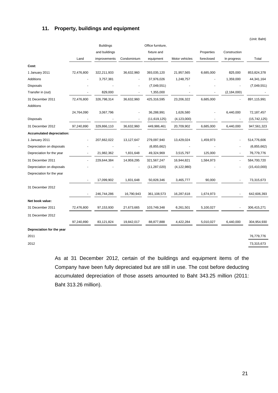# **11. Property, buildings and equipment**

|                           |                          |                  |                          |                   |                |            |               | (Unit: Baht)   |
|---------------------------|--------------------------|------------------|--------------------------|-------------------|----------------|------------|---------------|----------------|
|                           |                          | <b>Buildings</b> |                          | Office furniture, |                |            |               |                |
|                           |                          | and buildings    |                          | fixture and       |                | Properties | Construction  |                |
|                           | Land                     | improvements     | Condominium              | equipment         | Motor vehicles | foreclosed | In progress   | Total          |
| Cost:                     |                          |                  |                          |                   |                |            |               |                |
| 1 January 2011            | 72,476,800               | 322,211,933      | 36,632,960               | 393,035,120       | 21,957,565     | 6,685,000  | 825,000       | 853,824,378    |
| <b>Additions</b>          |                          | 3,757,381        | ٠                        | 37,976,026        | 1,248,757      |            | 1,359,000     | 44,341,164     |
| <b>Disposals</b>          |                          |                  |                          | (7,049,551)       |                |            |               | (7,049,551)    |
| Transfer in (out)         |                          | 829,000          |                          | 1,355,000         |                |            | (2, 184, 000) |                |
| 31 December 2011          | 72,476,800               | 326,798,314      | 36,632,960               | 425,316,595       | 23,206,322     | 6,685,000  |               | 891,115,991    |
| Additions                 |                          |                  |                          |                   |                |            |               |                |
|                           | 24,764,090               | 3,067,796        | $\ddot{\phantom{1}}$     | 36,288,991        | 1,626,580      |            | 6,440,000     | 72,187,457     |
| Disposals                 |                          |                  | $\overline{\phantom{a}}$ | (11,619,125)      | (4, 123, 000)  |            |               | (15, 742, 125) |
| 31 December 2012          | 97,240,890               | 329,866,110      | 36,632,960               | 449,986,461       | 20,709,902     | 6,685,000  | 6,440,000     | 947,561,323    |
| Accumulated depreciation: |                          |                  |                          |                   |                |            |               |                |
| 1 January 2011            | $\overline{\phantom{a}}$ | 207,662,022      | 13,127,647               | 279,097,940       | 13,429,024     | 1,459,973  |               | 514,776,606    |
| Depreciation on disposals |                          |                  |                          | (6,855,662)       |                |            |               | (6,855,662)    |
| Depreciation for the year |                          | 21,982,362       | 1,831,648                | 49,324,969        | 3,515,797      | 125,000    |               | 76,779,776     |
| 31 December 2011          |                          | 229,644,384      | 14,959,295               | 321,567,247       | 16,944,821     | 1,584,973  |               | 584,700,720    |
| Depreciation on disposals |                          |                  |                          | (11, 287, 020)    | (4, 122, 980)  |            |               | (15, 410, 000) |
| Depreciation for the year |                          |                  |                          |                   |                |            |               |                |
|                           |                          | 17,099,902       | 1,831,648                | 50,828,346        | 3,465,777      | 90,000     |               | 73,315,673     |
| 31 December 2012          |                          |                  |                          |                   |                |            |               |                |
|                           | $\overline{\phantom{a}}$ | 246,744,286      | 16,790,943               | 361,108,573       | 16,287,618     | 1,674,973  |               | 642,606,393    |
| Net book value:           |                          |                  |                          |                   |                |            |               |                |
| 31 December 2011          | 72,476,800               | 97,153,930       | 21,673,665               | 103,749,348       | 6,261,501      | 5,100,027  |               | 306,415,271    |
| 31 December 2012          |                          |                  |                          |                   |                |            |               |                |
|                           | 97,240,890               | 83,121,824       | 19,842,017               | 88,877,888        | 4,422,284      | 5,010,027  | 6,440,000     | 304,954,930    |
| Depreciation for the year |                          |                  |                          |                   |                |            |               |                |
| 2011                      |                          |                  |                          |                   |                |            |               | 76,779,776     |
| 2012                      |                          |                  |                          |                   |                |            |               | 73,315,673     |

 As at 31 December 2012, certain of the buildings and equipment items of the Company have been fully depreciated but are still in use. The cost before deducting accumulated depreciation of those assets amounted to Baht 343.25 million (2011: Baht 313.26 million).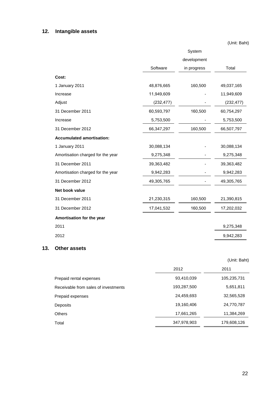# **12. Intangible assets**

(Unit: Baht)

|                                   |            | System      |            |
|-----------------------------------|------------|-------------|------------|
|                                   |            | development |            |
|                                   | Software   | in progress | Total      |
| Cost:                             |            |             |            |
| 1 January 2011                    | 48,876,665 | 160,500     | 49,037,165 |
| Increase                          | 11,949,609 |             | 11,949,609 |
| Adjust                            | (232, 477) |             | (232, 477) |
| 31 December 2011                  | 60,593,797 | 160,500     | 60,754,297 |
| Increase                          | 5,753,500  |             | 5,753,500  |
| 31 December 2012                  | 66,347,297 | 160,500     | 66,507,797 |
| <b>Accumulated amortisation:</b>  |            |             |            |
| 1 January 2011                    | 30,088,134 |             | 30,088,134 |
| Amortisation charged for the year | 9,275,348  |             | 9,275,348  |
| 31 December 2011                  | 39,363,482 |             | 39,363,482 |
| Amortisation charged for the year | 9,942,283  |             | 9,942,283  |
| 31 December 2012                  | 49,305,765 |             | 49,305,765 |
| Net book value                    |            |             |            |
| 31 December 2011                  | 21,230,315 | 160,500     | 21,390,815 |
| 31 December 2012                  | 17,041,532 | 160,500     | 17,202,032 |
| Amortisation for the year         |            |             |            |
| 2011                              |            |             | 9,275,348  |
| 2012                              |            |             | 9,942,283  |
|                                   |            |             |            |

## **13. Other assets**

(Unit: Baht)

|                                      | 2012        | 2011        |
|--------------------------------------|-------------|-------------|
| Prepaid rental expenses              | 93,410,039  | 105,235,731 |
| Receivable from sales of investments | 193,287,500 | 5,651,811   |
| Prepaid expenses                     | 24,459,693  | 32,565,528  |
| Deposits                             | 19,160,406  | 24,770,787  |
| <b>Others</b>                        | 17,661,265  | 11,384,269  |
| Total                                | 347,978,903 | 179,608,126 |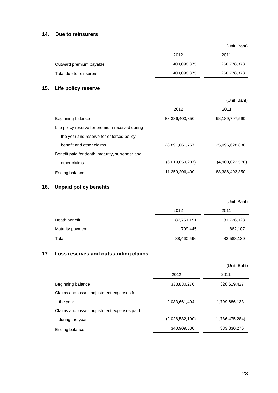## **14**. **Due to reinsurers**

(Unit: Baht)

|                         | 2012        | 2011        |
|-------------------------|-------------|-------------|
| Outward premium payable | 400,098,875 | 266,778,378 |
| Total due to reinsurers | 400,098,875 | 266,778,378 |

# **15. Life policy reserve**

|                                                 |                 | (Unit: Baht)    |
|-------------------------------------------------|-----------------|-----------------|
|                                                 | 2012            | 2011            |
| Beginning balance                               | 88,386,403,850  | 68,189,797,590  |
| Life policy reserve for premium received during |                 |                 |
| the year and reserve for enforced policy        |                 |                 |
| benefit and other claims                        | 28,891,861,757  | 25,096,628,836  |
| Benefit paid for death, maturity, surrender and |                 |                 |
| other claims                                    | (6,019,059,207) | (4,900,022,576) |
| Ending balance                                  | 111,259,206,400 | 88,386,403,850  |

# **16. Unpaid policy benefits**

|                  |            | (Unit: Baht) |
|------------------|------------|--------------|
|                  | 2012       | 2011         |
| Death benefit    | 87,751,151 | 81,726,023   |
| Maturity payment | 709,445    | 862,107      |
| Total            | 88,460,596 | 82,588,130   |

# **17. Loss reserves and outstanding claims**

|                                            |                 | (Unit: Baht)    |
|--------------------------------------------|-----------------|-----------------|
|                                            | 2012            | 2011            |
| Beginning balance                          | 333,830,276     | 320,619,427     |
| Claims and losses adjustment expenses for  |                 |                 |
| the year                                   | 2,033,661,404   | 1,799,686,133   |
| Claims and losses adjustment expenses paid |                 |                 |
| during the year                            | (2,026,582,100) | (1,786,475,284) |
| Ending balance                             | 340,909,580     | 333,830,276     |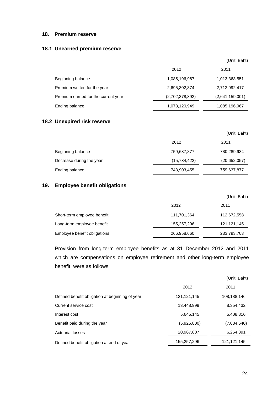## **18. Premium reserve**

#### **18.1 Unearned premium reserve**

|                                     |                 | (Unit: Baht)    |
|-------------------------------------|-----------------|-----------------|
|                                     | 2012            | 2011            |
| Beginning balance                   | 1,085,196,967   | 1,013,363,551   |
| Premium written for the year        | 2,695,302,374   | 2,712,992,417   |
| Premium earned for the current year | (2,702,378,392) | (2,641,159,001) |
| Ending balance                      | 1,078,120,949   | 1,085,196,967   |

## **18.2 Unexpired risk reserve**

|                          |              | (Unit: Baht) |
|--------------------------|--------------|--------------|
|                          | 2012         | 2011         |
| Beginning balance        | 759,637,877  | 780,289,934  |
| Decrease during the year | (15,734,422) | (20,652,057) |
| Ending balance           | 743,903,455  | 759,637,877  |

### **19. Employee benefit obligations**

|                              |             | (Unit: Baht) |
|------------------------------|-------------|--------------|
|                              | 2012        | 2011         |
| Short-term employee benefit  | 111,701,364 | 112,672,558  |
| Long-term employee benefit   | 155,257,296 | 121,121,145  |
| Employee benefit obligations | 266,958,660 | 233,793,703  |

 Provision from long-term employee benefits as at 31 December 2012 and 2011 which are compensations on employee retirement and other long-term employee benefit, were as follows:

|                                                 |               | (Unit: Baht)  |
|-------------------------------------------------|---------------|---------------|
|                                                 | 2012          | 2011          |
| Defined benefit obligation at beginning of year | 121, 121, 145 | 108,188,146   |
| Current service cost                            | 13,448,999    | 8,354,432     |
| Interest cost                                   | 5,645,145     | 5,408,816     |
| Benefit paid during the year                    | (5,925,800)   | (7,084,640)   |
| Actuarial losses                                | 20,967,807    | 6,254,391     |
| Defined benefit obligation at end of year       | 155,257,296   | 121, 121, 145 |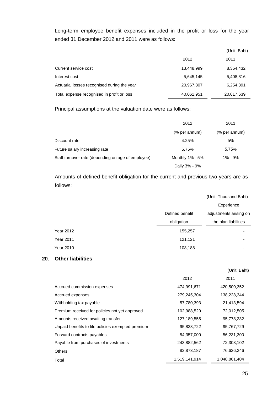Long-term employee benefit expenses included in the profit or loss for the year ended 31 December 2012 and 2011 were as follows:

|                                             |            | (Unit: Baht) |
|---------------------------------------------|------------|--------------|
|                                             | 2012       | 2011         |
| Current service cost                        | 13,448,999 | 8,354,432    |
| Interest cost                               | 5,645,145  | 5,408,816    |
| Actuarial losses recognised during the year | 20,967,807 | 6,254,391    |
| Total expense recognised in profit or loss  | 40,061,951 | 20,017,639   |

Principal assumptions at the valuation date were as follows:

|                                                    | 2012            | 2011          |  |
|----------------------------------------------------|-----------------|---------------|--|
|                                                    | (% per annum)   | (% per annum) |  |
| Discount rate                                      | 4.25%           | 5%            |  |
| Future salary increasing rate                      | 5.75%           | 5.75%         |  |
| Staff turnover rate (depending on age of employee) | Monthly 1% - 5% | $1\% - 9\%$   |  |
|                                                    | Daily 3% - 9%   |               |  |

 Amounts of defined benefit obligation for the current and previous two years are as follows:

|           |                 | (Unit: Thousand Baht)  |
|-----------|-----------------|------------------------|
|           |                 | Experience             |
|           | Defined benefit | adjustments arising on |
|           | obligation      | the plan liabilities   |
| Year 2012 | 155,257         |                        |
| Year 2011 | 121,121         | -                      |
| Year 2010 | 108,188         |                        |

## **20. Other liabilities**

|                                                   |               | (Unit: Baht)  |
|---------------------------------------------------|---------------|---------------|
|                                                   | 2012          | 2011          |
| Accrued commission expenses                       | 474,991,671   | 420,500,352   |
| Accrued expenses                                  | 279,245,304   | 138,228,344   |
| Withholding tax payable                           | 57,780,393    | 21,413,594    |
| Premium received for policies not yet approved    | 102,988,520   | 72,012,505    |
| Amounts received awaiting transfer                | 127,189,555   | 95,778,232    |
| Unpaid benefits to life policies exempted premium | 95,833,722    | 95,767,729    |
| Forward contracts payables                        | 54,357,000    | 56,231,300    |
| Payable from purchases of investments             | 243,882,562   | 72,303,102    |
| <b>Others</b>                                     | 82,873,187    | 76,626,246    |
| Total                                             | 1,519,141,914 | 1,048,861,404 |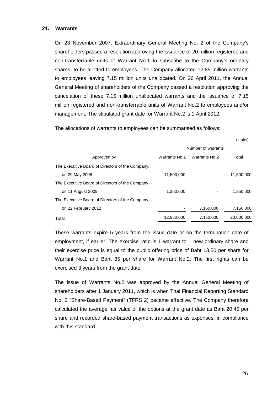#### **21. Warrants**

On 23 November 2007, Extraordinary General Meeting No. 2 of the Company's shareholders passed a resolution approving the issuance of 20 million registered and non-transferrable units of Warrant No.1 to subscribe to the Company's ordinary shares, to be allotted to employees. The Company allocated 12.85 million warrants to employees leaving 7.15 million units unallocated. On 26 April 2011, the Annual General Meeting of shareholders of the Company passed a resolution approving the cancelation of these 7.15 million unallocated warrants and the issuance of 7.15 million registered and non-transferrable units of Warrant No.2 to employees and/or management. The stipulated grant date for Warrant No.2 is 1 April 2012.

The allocations of warrants to employees can be summarised as follows:

|                                                  | Number of warrants |               |            |  |
|--------------------------------------------------|--------------------|---------------|------------|--|
| Approved by                                      | Warrants No.1      | Warrants No.2 | Total      |  |
| The Executive Board of Directors of the Company, |                    |               |            |  |
| on 29 May 2008                                   | 11,500,000         |               | 11,500,000 |  |
| The Executive Board of Directors of the Company, |                    |               |            |  |
| on 11 August 2009                                | 1,350,000          |               | 1,350,000  |  |
| The Executive Board of Directors of the Company, |                    |               |            |  |
| on 22 February 2012                              |                    | 7,150,000     | 7,150,000  |  |
| Total                                            | 12,850,000         | 7,150,000     | 20,000,000 |  |

 These warrants expire 5 years from the issue date or on the termination date of employment, if earlier. The exercise ratio is 1 warrant to 1 new ordinary share and their exercise price is equal to the public offering price of Baht 13.50 per share for Warrant No.1 and Baht 35 per share for Warrant No.2. The first rights can be exercised 3 years from the grant date.

 The issue of Warrants No.2 was approved by the Annual General Meeting of shareholders after 1 January 2011, which is when Thai Financial Reporting Standard No. 2 "Share-Based Payment" (TFRS 2) became effective. The Company therefore calculated the average fair value of the options at the grant date as Baht 20.45 per share and recorded share-based payment transactions as expenses, in compliance with this standard.

(Units)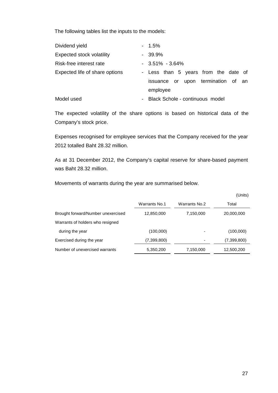The following tables list the inputs to the models:

| Dividend yield                   | $-1.5\%$                             |
|----------------------------------|--------------------------------------|
| <b>Expected stock volatility</b> | $-39.9%$                             |
| Risk-free interest rate          | $-3.51\% -3.64\%$                    |
| Expected life of share options   | - Less than 5 years from the date of |
|                                  | issuance or upon termination of an   |
|                                  | employee                             |
| Model used                       | - Black Schole - continuous model    |

 The expected volatility of the share options is based on historical data of the Company's stock price.

Expenses recognised for employee services that the Company received for the year 2012 totalled Baht 28.32 million.

As at 31 December 2012, the Company's capital reserve for share-based payment was Baht 28.32 million.

Movements of warrants during the year are summarised below.

|                                    |               |                          | (Units)     |
|------------------------------------|---------------|--------------------------|-------------|
|                                    | Warrants No.1 | Warrants No.2            | Total       |
| Brought forward/Number unexercised | 12,850,000    | 7,150,000                | 20,000,000  |
| Warrants of holders who resigned   |               |                          |             |
| during the year                    | (100,000)     |                          | (100,000)   |
| Exercised during the year          | (7, 399, 800) | $\overline{\phantom{0}}$ | (7,399,800) |
| Number of unexercised warrants     | 5,350,200     | 7,150,000                | 12,500,200  |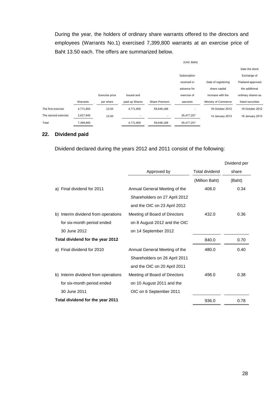During the year, the holders of ordinary share warrants offered to the directors and employees (Warrants No.1) exercised 7,399,800 warrants at an exercise price of Baht 13.50 each. The offers are summarized below.

|                     |           |                |                |               | (Unit: Baht) |                      |                    |
|---------------------|-----------|----------------|----------------|---------------|--------------|----------------------|--------------------|
|                     |           |                |                |               |              |                      | Date the stock     |
|                     |           |                |                |               | Subscription |                      | Exchange of        |
|                     |           |                |                |               | received in  | Date of registering  | Thailand approved  |
|                     |           |                |                |               | advance for  | share capital        | the additional     |
|                     |           | Exercise price | Issued and     |               | exercise of  | increase with the    | ordinary shares as |
|                     | Warrants  | per share      | paid up Shares | Share Premium | warrants     | Ministry of Commerce | listed securities  |
| The first exercise  | 4,771,855 | 13.50          | 4,771,855      | 59,648,188    |              | 16 October 2012      | 19 October 2012    |
| The second exercise | 2,627,945 | 13.50          |                |               | 35,477,257   | 14 January 2013      | 18 January 2013    |
| Total               | 7,399,800 |                | 4,771,855      | 59,648,188    | 35,477,257   |                      |                    |

## **22. Dividend paid**

Dividend declared during the years 2012 and 2011 consist of the following:

|                                         |                               |                | Dividend per |
|-----------------------------------------|-------------------------------|----------------|--------------|
|                                         | Approved by                   | Total dividend | share        |
|                                         |                               | (Million Baht) | (Baht)       |
| Final dividend for 2011<br>a)           | Annual General Meeting of the | 408.0          | 0.34         |
|                                         | Shareholders on 27 April 2012 |                |              |
|                                         | and the OIC on 23 April 2012  |                |              |
| Interim dividend from operations<br>b). | Meeting of Board of Directors | 432.0          | 0.36         |
| for six-month period ended              | on 8 August 2012 and the OIC  |                |              |
| 30 June 2012                            | on 14 September 2012          |                |              |
| Total dividend for the year 2012        |                               | 840.0          | 0.70         |
| a) Final dividend for 2010              | Annual General Meeting of the | 480.0          | 0.40         |
|                                         | Shareholders on 26 April 2011 |                |              |
|                                         | and the OIC on 20 April 2011  |                |              |
| b) Interim dividend from operations     | Meeting of Board of Directors | 456.0          | 0.38         |
| for six-month period ended              | on 10 August 2011 and the     |                |              |
| 30 June 2011                            | OIC on 6 September 2011       |                |              |
| Total dividend for the year 2011        |                               | 936.0          | 0.78         |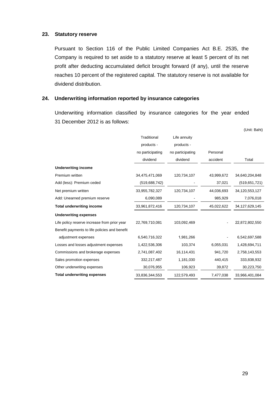### **23. Statutory reserve**

 Pursuant to Section 116 of the Public Limited Companies Act B.E. 2535, the Company is required to set aside to a statutory reserve at least 5 percent of its net profit after deducting accumulated deficit brought forward (if any), until the reserve reaches 10 percent of the registered capital. The statutory reserve is not available for dividend distribution.

#### **24. Underwriting information reported by insurance categories**

Underwriting information classified by insurance categories for the year ended 31 December 2012 is as follows:

|                                               | Traditional<br>products - | Life annuity<br>products - |            |                 |
|-----------------------------------------------|---------------------------|----------------------------|------------|-----------------|
|                                               | no participating          | no participating           | Personal   |                 |
|                                               | dividend                  | dividend                   | accident   | Total           |
| <b>Underwriting income</b>                    |                           |                            |            |                 |
| Premium written                               | 34,475,471,069            | 120,734,107                | 43,999,672 | 34,640,204,848  |
| Add (less): Premium ceded                     | (519,688,742)             |                            | 37,021     | (519, 651, 721) |
| Net premium written                           | 33,955,782,327            | 120,734,107                | 44,036,693 | 34,120,553,127  |
| Add: Unearned premium reserve                 | 6,090,089                 |                            | 985,929    | 7,076,018       |
| <b>Total underwriting income</b>              | 33,961,872,416            | 120,734,107                | 45,022,622 | 34,127,629,145  |
| <b>Underwriting expenses</b>                  |                           |                            |            |                 |
| Life policy reserve increase from prior year  | 22,769,710,081            | 103,092,469                |            | 22,872,802,550  |
| Benefit payments to life policies and benefit |                           |                            |            |                 |
| adjustment expenses                           | 6,540,716,322             | 1,981,266                  |            | 6,542,697,588   |
| Losses and losses adjustment expenses         | 1,422,536,306             | 103,374                    | 6,055,031  | 1,428,694,711   |
| Commissions and brokerage expenses            | 2,741,087,402             | 16,114,431                 | 941,720    | 2,758,143,553   |
| Sales promotion expenses                      | 332,217,487               | 1,181,030                  | 440,415    | 333,838,932     |
| Other underwriting expenses                   | 30,076,955                | 106,923                    | 39,872     | 30,223,750      |
| <b>Total underwriting expenses</b>            | 33,836,344,553            | 122,579,493                | 7,477,038  | 33,966,401,084  |

(Unit: Baht)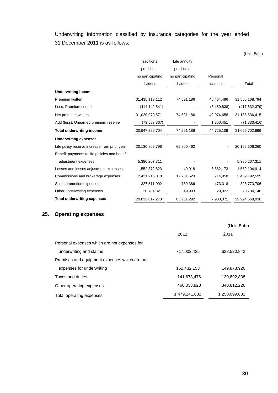Underwriting information classified by insurance categories for the year ended 31 December 2011 is as follows:

|                                               |                  |                  |             | (Unit: Baht)    |
|-----------------------------------------------|------------------|------------------|-------------|-----------------|
|                                               | Traditional      | Life annuity     |             |                 |
|                                               | products -       | products -       |             |                 |
|                                               | no participating | no participating | Personal    |                 |
|                                               | dividend         | dividend         | accident    | Total           |
| <b>Underwriting income</b>                    |                  |                  |             |                 |
| Premium written                               | 31,435,113,112   | 74,591,186       | 46,464,496  | 31,556,168,794  |
| Less: Premium ceded                           | (414,142,541)    |                  | (3,489,838) | (417, 632, 379) |
| Net premium written                           | 31,020,970,571   | 74,591,186       | 42,974,658  | 31,138,536,415  |
| Add (less): Unearned premium reserve          | (73, 583, 867)   |                  | 1,750,451   | (71, 833, 416)  |
| <b>Total underwriting income</b>              | 30,947,386,704   | 74,591,186       | 44,725,109  | 31,066,702,999  |
| <b>Underwriting expenses</b>                  |                  |                  |             |                 |
| Life policy reserve increase from prior year  | 20,130,805,798   | 65,800,462       |             | 20,196,606,260  |
| Benefit payments to life policies and benefit |                  |                  |             |                 |
| adjustment expenses                           | 5,380,207,311    |                  |             | 5,380,207,311   |
| Losses and losses adjustment expenses         | 1,552,372,823    | 49,918           | 6,682,173   | 1,559,104,914   |
| Commissions and brokerage expenses            | 2,421,216,018    | 17,261,623       | 714,958     | 2,439,192,599   |
| Sales promotion expenses                      | 327,511,002      | 789,386          | 473,318     | 328,773,706     |
| Other underwriting expenses                   | 20,704,321       | 49,903           | 29,922      | 20,784,146      |
| <b>Total underwriting expenses</b>            | 29,832,817,273   | 83,951,292       | 7,900,371   | 29,924,668,936  |

# **25. Operating expenses**

|                                               |               | (Unit: Baht)  |
|-----------------------------------------------|---------------|---------------|
|                                               | 2012          | 2011          |
| Personal expenses which are not expenses for  |               |               |
| underwriting and claims                       | 717,002,425   | 628,520,842   |
| Premises and equipment expenses which are not |               |               |
| expenses for underwriting                     | 152.432.153   | 149,873,926   |
| Taxes and duties                              | 141,673,476   | 130,892,838   |
| Other operating expenses                      | 468,033,828   | 340,812,226   |
| Total operating expenses                      | 1,479,141,882 | 1,250,099,832 |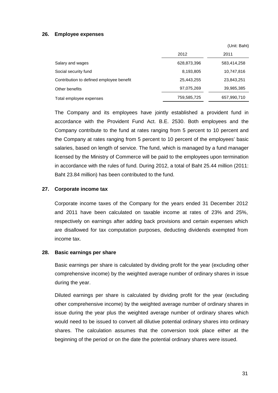#### **26. Employee expenses**

|                                          |             | (UHIL DaHI) |
|------------------------------------------|-------------|-------------|
|                                          | 2012        | 2011        |
| Salary and wages                         | 628,873,396 | 583,414,258 |
| Social security fund                     | 8,193,805   | 10,747,816  |
| Contribution to defined employee benefit | 25,443,255  | 23,843,251  |
| Other benefits                           | 97,075,269  | 39,985,385  |
| Total employee expenses                  | 759,585,725 | 657,990,710 |
|                                          |             |             |

 The Company and its employees have jointly established a provident fund in accordance with the Provident Fund Act. B.E. 2530. Both employees and the Company contribute to the fund at rates ranging from 5 percent to 10 percent and the Company at rates ranging from 5 percent to 10 percent of the employees' basic salaries, based on length of service. The fund, which is managed by a fund manager licensed by the Ministry of Commerce will be paid to the employees upon termination in accordance with the rules of fund. During 2012, a total of Baht 25.44 million (2011: Baht 23.84 million) has been contributed to the fund.

### **27. Corporate income tax**

 Corporate income taxes of the Company for the years ended 31 December 2012 and 2011 have been calculated on taxable income at rates of 23% and 25%, respectively on earnings after adding back provisions and certain expenses which are disallowed for tax computation purposes, deducting dividends exempted from income tax.

#### **28. Basic earnings per share**

 Basic earnings per share is calculated by dividing profit for the year (excluding other comprehensive income) by the weighted average number of ordinary shares in issue during the year.

 Diluted earnings per share is calculated by dividing profit for the year (excluding other comprehensive income) by the weighted average number of ordinary shares in issue during the year plus the weighted average number of ordinary shares which would need to be issued to convert all dilutive potential ordinary shares into ordinary shares. The calculation assumes that the conversion took place either at the beginning of the period or on the date the potential ordinary shares were issued.

(Unit: Baht)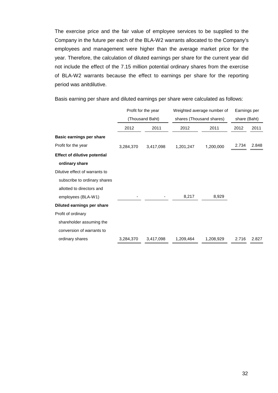The exercise price and the fair value of employee services to be supplied to the Company in the future per each of the BLA-W2 warrants allocated to the Company's employees and management were higher than the average market price for the year. Therefore, the calculation of diluted earnings per share for the current year did not include the effect of the 7.15 million potential ordinary shares from the exercise of BLA-W2 warrants because the effect to earnings per share for the reporting period was anitdilutive.

Basis earning per share and diluted earnings per share were calculated as follows:

|                                     | Profit for the year<br>(Thousand Baht) |           |           | Weighted average number of<br>shares (Thousand shares) |       | Earnings per<br>share (Baht) |  |
|-------------------------------------|----------------------------------------|-----------|-----------|--------------------------------------------------------|-------|------------------------------|--|
|                                     |                                        |           |           |                                                        |       |                              |  |
|                                     | 2012                                   | 2011      | 2012      | 2011                                                   | 2012  | 2011                         |  |
| <b>Basic earnings per share</b>     |                                        |           |           |                                                        |       |                              |  |
| Profit for the year                 | 3,284,370                              | 3,417,098 | 1,201,247 | 1,200,000                                              | 2.734 | 2.848                        |  |
| <b>Effect of dilutive potential</b> |                                        |           |           |                                                        |       |                              |  |
| ordinary share                      |                                        |           |           |                                                        |       |                              |  |
| Dilutive effect of warrants to      |                                        |           |           |                                                        |       |                              |  |
| subscribe to ordinary shares        |                                        |           |           |                                                        |       |                              |  |
| allotted to directors and           |                                        |           |           |                                                        |       |                              |  |
| employees (BLA-W1)                  |                                        |           | 8,217     | 8,929                                                  |       |                              |  |
| Diluted earnings per share          |                                        |           |           |                                                        |       |                              |  |
| Profit of ordinary                  |                                        |           |           |                                                        |       |                              |  |
| shareholder assuming the            |                                        |           |           |                                                        |       |                              |  |
| conversion of warrants to           |                                        |           |           |                                                        |       |                              |  |
| ordinary shares                     | 3,284,370                              | 3,417,098 | 1,209,464 | 1,208,929                                              | 2.716 | 2.827                        |  |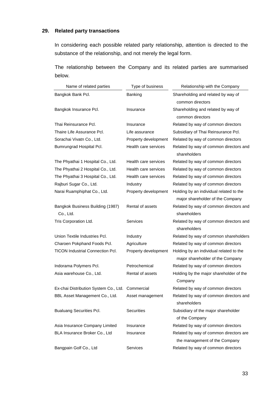# **29. Related party transactions**

 In considering each possible related party relationship, attention is directed to the substance of the relationship, and not merely the legal form.

 The relationship between the Company and its related parties are summarised below.

| Name of related parties                          | Type of business     | Relationship with the Company                                               |
|--------------------------------------------------|----------------------|-----------------------------------------------------------------------------|
| Bangkok Bank Pcl.                                | Banking              | Shareholding and related by way of<br>common directors                      |
| Bangkok Insurance Pcl.                           | Insurance            | Shareholding and related by way of<br>common directors                      |
| Thai Reinsurance Pcl.                            | Insurance            | Related by way of common directors                                          |
| Thaire Life Assurance Pcl.                       | Life assurance       | Subsidiary of Thai Reinsurance Pcl.                                         |
| Sorachai Vivatn Co., Ltd.                        | Property development | Related by way of common directors                                          |
| Bumrungrad Hospital Pcl.                         | Health care services | Related by way of common directors and<br>shareholders                      |
| The Phyathai 1 Hospital Co., Ltd.                | Health care services | Related by way of common directors                                          |
| The Phyathai 2 Hospital Co., Ltd.                | Health care services | Related by way of common directors                                          |
| The Phyathai 3 Hospital Co., Ltd.                | Health care services | Related by way of common directors                                          |
| Rajburi Sugar Co., Ltd.                          | Industry             | Related by way of common directors                                          |
| Narai Ruamphiphat Co., Ltd.                      | Property development | Holding by an individual related to the<br>major shareholder of the Company |
| Bangkok Business Building (1987)<br>Co., Ltd.    | Rental of assets     | Related by way of common directors and<br>shareholders                      |
| Tris Corporation Ltd.                            | Services             | Related by way of common directors and<br>shareholders                      |
| Union Textile Industries Pcl.                    | Industry             | Related by way of common shareholders                                       |
| Charoen Pokphand Foods Pcl.                      | Agriculture          | Related by way of common directors                                          |
| <b>TICON Industrial Connection Pcl.</b>          | Property development | Holding by an individual related to the<br>major shareholder of the Company |
| Indorama Polymers Pcl.                           | Petrochemical        | Related by way of common directors                                          |
| Asia warehouse Co., Ltd.                         | Rental of assets     | Holding by the major shareholder of the<br>Company                          |
| Ex-chai Distribution System Co., Ltd. Commercial |                      | Related by way of common directors                                          |
| BBL Asset Management Co., Ltd.                   | Asset management     | Related by way of common directors and<br>shareholders                      |
| <b>Bualuang Securities Pcl.</b>                  | Securities           | Subsidiary of the major shareholder<br>of the Company                       |
| Asia Insurance Company Limited                   | Insurance            | Related by way of common directors                                          |
| BLA Insurance Broker Co., Ltd                    | Insurance            | Related by way of common directors are<br>the management of the Company     |
| Bangpain Golf Co., Ltd                           | Services             | Related by way of common directors                                          |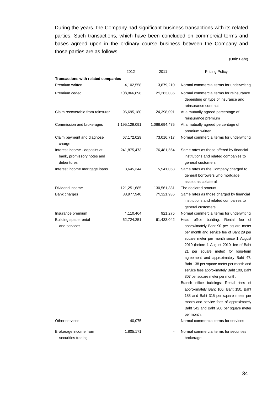During the years, the Company had significant business transactions with its related parties. Such transactions, which have been concluded on commercial terms and bases agreed upon in the ordinary course business between the Company and those parties are as follows:

(Unit: Baht)

|                                                                           | 2012          | 2011          | <b>Pricing Policy</b>                                                                                                                                                                                                                                                                                                                                                                                                                                                                                                                                                                                                                                       |
|---------------------------------------------------------------------------|---------------|---------------|-------------------------------------------------------------------------------------------------------------------------------------------------------------------------------------------------------------------------------------------------------------------------------------------------------------------------------------------------------------------------------------------------------------------------------------------------------------------------------------------------------------------------------------------------------------------------------------------------------------------------------------------------------------|
| Transactions with related companies                                       |               |               |                                                                                                                                                                                                                                                                                                                                                                                                                                                                                                                                                                                                                                                             |
| Premium written                                                           | 4,102,558     | 3,879,210     | Normal commercial terms for underwriting                                                                                                                                                                                                                                                                                                                                                                                                                                                                                                                                                                                                                    |
| Premium ceded                                                             | 108,866,898   | 21,263,036    | Normal commercial terms for reinsurance<br>depending on type of insurance and<br>reinsurance contract                                                                                                                                                                                                                                                                                                                                                                                                                                                                                                                                                       |
| Claim recoverable from reinsurer                                          | 96,695,180    | 24,398,091    | At a mutually agreed percentage of<br>reinsurance premium                                                                                                                                                                                                                                                                                                                                                                                                                                                                                                                                                                                                   |
| Commission and brokerages                                                 | 1,195,129,091 | 1,068,694,475 | At a mutually agreed percentage of<br>premium written                                                                                                                                                                                                                                                                                                                                                                                                                                                                                                                                                                                                       |
| Claim payment and diagnose<br>charge                                      | 67,172,029    | 73,016,717    | Normal commercial terms for underwriting                                                                                                                                                                                                                                                                                                                                                                                                                                                                                                                                                                                                                    |
| Interest income - deposits at<br>bank, promissory notes and<br>debentures | 241,875,473   | 76,481,564    | Same rates as those offered by financial<br>institutions and related companies to<br>general customers                                                                                                                                                                                                                                                                                                                                                                                                                                                                                                                                                      |
| Interest income mortgage loans                                            | 8,645,344     | 5,541,058     | Same rates as the Company charged to<br>general borrowers who mortgage<br>assets as collateral                                                                                                                                                                                                                                                                                                                                                                                                                                                                                                                                                              |
| Dividend income                                                           | 121,251,685   | 130,561,381   | The declared amount                                                                                                                                                                                                                                                                                                                                                                                                                                                                                                                                                                                                                                         |
| Bank charges                                                              | 88,977,940    | 71,321,935    | Same rates as those charged by financial<br>institutions and related companies to<br>general customers                                                                                                                                                                                                                                                                                                                                                                                                                                                                                                                                                      |
| Insurance premium                                                         | 1,110,464     | 921,275       | Normal commercial terms for underwriting                                                                                                                                                                                                                                                                                                                                                                                                                                                                                                                                                                                                                    |
| Building space rental<br>and services                                     | 62,724,251    | 61,433,042    | office<br>Head<br>building:<br>Rental<br>fee<br>of<br>approximately Baht 90 per square meter<br>per month and service fee of Baht 29 per<br>square meter per month since 1 August<br>2010 (before 1 August 2010: fee of Baht<br>per square meter) for long-term<br>21<br>agreement and approximately Baht 47,<br>Baht 138 per square meter per month and<br>service fees approximately Baht 100, Baht<br>307 per square meter per month.<br>Branch office buildings: Rental fees of<br>approximately Baht 100, Baht 150, Baht<br>188 and Baht 315 per square meter per<br>month and service fees of approximately<br>Baht 342 and Baht 200 per square meter |
| Other services                                                            | 40,075        |               | per month.<br>Normal commercial terms for services                                                                                                                                                                                                                                                                                                                                                                                                                                                                                                                                                                                                          |
| Brokerage income from<br>securities trading                               | 1,805,171     |               | Normal commercial terms for securities<br>brokerage                                                                                                                                                                                                                                                                                                                                                                                                                                                                                                                                                                                                         |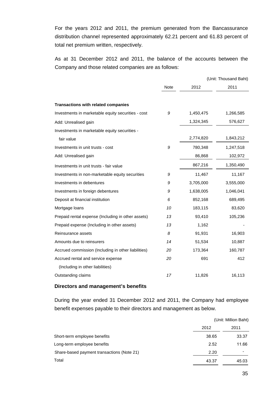For the years 2012 and 2011, the premium generated from the Bancassurance distribution channel represented approximately 62.21 percent and 61.83 percent of total net premium written, respectively.

As at 31 December 2012 and 2011, the balance of the accounts between the Company and those related companies are as follows:

|                                                     |             |           | (Unit: Thousand Baht) |
|-----------------------------------------------------|-------------|-----------|-----------------------|
|                                                     | <b>Note</b> | 2012      | 2011                  |
| <b>Transactions with related companies</b>          |             |           |                       |
| Investments in marketable equity securities - cost  | 9           | 1,450,475 | 1,266,585             |
| Add: Unrealised gain                                |             | 1,324,345 | 576,627               |
| Investments in marketable equity securities -       |             |           |                       |
| fair value                                          |             | 2,774,820 | 1,843,212             |
| Investments in unit trusts - cost                   | 9           | 780,348   | 1,247,518             |
| Add: Unrealised gain                                |             | 86,868    | 102,972               |
| Investments in unit trusts - fair value             |             | 867,216   | 1,350,490             |
| Investments in non-marketable equity securities     | 9           | 11,467    | 11,167                |
| Investments in debentures                           | 9           | 3,705,000 | 3,555,000             |
| Investments in foreign debentures                   | 9           | 1,638,005 | 1,046,041             |
| Deposit at financial institution                    | 6           | 852,168   | 689,495               |
| Mortgage Ioans                                      | 10          | 183,115   | 83,620                |
| Prepaid rental expense (Including in other assets)  | 13          | 93,410    | 105,236               |
| Prepaid expense (Including in other assets)         | 13          | 1,162     |                       |
| Reinsurance assets                                  | 8           | 91,931    | 16,903                |
| Amounts due to reinsurers                           | 14          | 51,534    | 10,887                |
| Accrued commission (Including in other liabilities) | 20          | 173,364   | 160,787               |
| Accrued rental and service expense                  | 20          | 691       | 412                   |
| (Including in other liabilities)                    |             |           |                       |
| Outstanding claims                                  | 17          | 11,826    | 16,113                |

#### **Directors and management's benefits**

 During the year ended 31 December 2012 and 2011, the Company had employee benefit expenses payable to their directors and management as below.

|                                            |       | (Unit: Million Baht) |  |  |
|--------------------------------------------|-------|----------------------|--|--|
|                                            | 2012  | 2011                 |  |  |
| Short-term employee benefits               | 38.65 | 33.37                |  |  |
| Long-term employee benefits                | 2.52  | 11.66                |  |  |
| Share-based payment transactions (Note 21) | 2.20  |                      |  |  |
| Total                                      | 43.37 | 45.03                |  |  |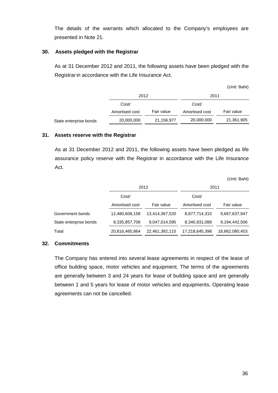The details of the warrants which allocated to the Company's employees are presented in Note 21.

## **30. Assets pledged with the Registrar**

 As at 31 December 2012 and 2011, the following assets have been pledged with the Registrar in accordance with the Life Insurance Act.

(Unit: Baht)

(Unit: Baht)

|                        | 2012           |            | 2011           |            |
|------------------------|----------------|------------|----------------|------------|
|                        | Cost/          |            | Cost/          |            |
|                        | Amortised cost | Fair value | Amortised cost | Fair value |
| State enterprise bonds | 20,000,000     | 21,156,977 | 20,000,000     | 21,361,905 |

### **31. Assets reserve with the Registrar**

 As at 31 December 2012 and 2011, the following assets have been pledged as life assurance policy reserve with the Registrar in accordance with the Life Insurance Act.

|                        |                | 2012           | 2011           |                |
|------------------------|----------------|----------------|----------------|----------------|
|                        | Cost/          |                | Cost/          |                |
|                        | Amortised cost | Fair value     | Amortised cost | Fair value     |
| Government bonds       | 12,480,608,158 | 13,414,367,520 | 8,877,714,310  | 9,667,637,947  |
| State enterprise bonds | 8,335,857,706  | 9,047,014,595  | 8,340,931,088  | 9,194,442,506  |
| Total                  | 20,816,465,864 | 22,461,382,115 | 17,218,645,398 | 18,862,080,453 |

#### **32. Commitments**

 The Company has entered into several lease agreements in respect of the lease of office building space, motor vehicles and equipment. The terms of the agreements are generally between 3 and 24 years for lease of building space and are generally between 1 and 5 years for lease of motor vehicles and equipments. Operating lease agreements can not be cancelled.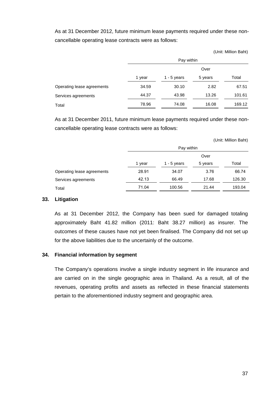As at 31 December 2012, future minimum lease payments required under these noncancellable operating lease contracts were as follows:

|                            |        |               |         | (Unit: Million Baht) |
|----------------------------|--------|---------------|---------|----------------------|
|                            |        | Pay within    |         |                      |
|                            |        |               | Over    |                      |
|                            | 1 year | 1 - $5$ years | 5 years | Total                |
| Operating lease agreements | 34.59  | 30.10         | 2.82    | 67.51                |
| Services agreements        | 44.37  | 43.98         | 13.26   | 101.61               |
| Total                      | 78.96  | 74.08         | 16.08   | 169.12               |

 As at 31 December 2011, future minimum lease payments required under these noncancellable operating lease contracts were as follows:

|                            |        | Pay within  |         |        |  |  |  |
|----------------------------|--------|-------------|---------|--------|--|--|--|
|                            |        | Over        |         |        |  |  |  |
|                            | 1 vear | 1 - 5 years | 5 years | Total  |  |  |  |
| Operating lease agreements | 28.91  | 34.07       | 3.76    | 66.74  |  |  |  |
| Services agreements        | 42.13  | 66.49       | 17.68   | 126.30 |  |  |  |
| Total                      | 71.04  | 100.56      | 21.44   | 193.04 |  |  |  |

### **33. Litigation**

As at 31 December 2012, the Company has been sued for damaged totaling approximately Baht 41.82 million (2011: Baht 38.27 million) as insurer. The outcomes of these causes have not yet been finalised. The Company did not set up for the above liabilities due to the uncertainly of the outcome.

### **34. Financial information by segment**

 The Company's operations involve a single industry segment in life insurance and are carried on in the single geographic area in Thailand. As a result, all of the revenues, operating profits and assets as reflected in these financial statements pertain to the aforementioned industry segment and geographic area.

(Unit: Million Baht)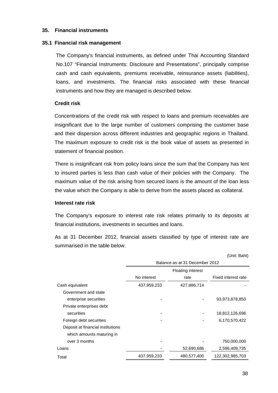#### **35. Financial instruments**

#### **35.1 Financial risk management**

The Company's financial instruments, as defined under Thai Accounting Standard No.107 "Financial Instruments: Disclosure and Presentations", principally comprise cash and cash equivalents, premiums receivable, reinsurance assets (liabilities), loans, and investments. The financial risks associated with these financial instruments and how they are managed is described below.

### **Credit risk**

 Concentrations of the credit risk with respect to loans and premium receivables are insignificant due to the large number of customers comprising the customer base and their dispersion across different industries and geographic regions in Thailand. The maximum exposure to credit risk is the book value of assets as presented in statement of financial position.

 There is insignificant risk from policy loans since the sum that the Company has lent to insured parties is less than cash value of their policies with the Company. The maximum value of the risk arising from secured loans is the amount of the loan less the value which the Company is able to derive from the assets placed as collateral.

#### **Interest rate risk**

 The Company's exposure to interest rate risk relates primarily to its deposits at financial institutions, investments in securities and loans.

 As at 31 December 2012, financial assets classified by type of interest rate are summarised in the table below.

|                                   |                                |             | (Unit: Baht)        |  |  |
|-----------------------------------|--------------------------------|-------------|---------------------|--|--|
|                                   | Balance as at 31 December 2012 |             |                     |  |  |
|                                   | <b>Floating interest</b>       |             |                     |  |  |
|                                   | No interest                    | rate        | Fixed interest rate |  |  |
| Cash equivalent                   | 437,959,233                    | 427,886,714 |                     |  |  |
| Government and state              |                                |             |                     |  |  |
| enterprise securities             |                                |             | 93,973,878,850      |  |  |
| Private enterprises debt          |                                |             |                     |  |  |
| securities                        |                                |             | 18,812,126,696      |  |  |
| Foreign debt securities           |                                |             | 6,170,570,422       |  |  |
| Deposit at financial institutions |                                |             |                     |  |  |
| which amounts maturing in         |                                |             |                     |  |  |
| over 3 months                     |                                |             | 750,000,000         |  |  |
| Loans                             |                                | 52,690,686  | 2,596,409,735       |  |  |
| Total                             | 437,959,233                    | 480,577,400 | 122,302,985,703     |  |  |

38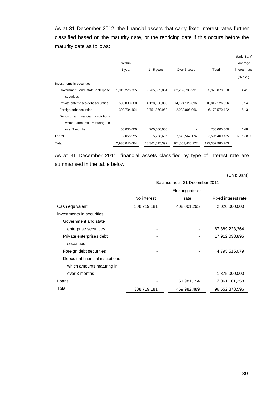As at 31 December 2012, the financial assets that carry fixed interest rates further classified based on the maturity date, or the repricing date if this occurs before the maturity date as follows:

|                                         |               |                |                 |                 | (Unit: Baht)   |
|-----------------------------------------|---------------|----------------|-----------------|-----------------|----------------|
|                                         | Within        |                |                 |                 | Average        |
|                                         | 1 year        | $1 - 5$ years  | Over 5 years    | Total           | interest rate  |
|                                         |               |                |                 |                 | $(%$ $%$ p.a.) |
| Investments in securities               |               |                |                 |                 |                |
| Government and state enterprise         | 1,945,276,725 | 9,765,865,834  | 82,262,736,291  | 93,973,878,850  | 4.41           |
| securities                              |               |                |                 |                 |                |
| Private enterprises debt securities     | 560,000,000   | 4,128,000,000  | 14,124,126,696  | 18,812,126,696  | 5.14           |
| Foreign debt securities                 | 380,704,404   | 3,751,860,952  | 2,038,005,066   | 6,170,570,422   | 5.13           |
| financial<br>Deposit at<br>institutions |               |                |                 |                 |                |
| amounts<br>maturing in<br>which         |               |                |                 |                 |                |
| over 3 months                           | 50,000,000    | 700,000,000    |                 | 750,000,000     | 4.48           |
| Loans                                   | 2,058,955     | 15,788,606     | 2,578,562,174   | 2,596,409,735   | $6.05 - 8.00$  |
| Total                                   | 2,938,040,084 | 18,361,515,392 | 101,003,430,227 | 122,302,985,703 |                |

As at 31 December 2011, financial assets classified by type of interest rate are summarised in the table below.

(Unit: Baht)

|                                   | Balance as at 31 December 2011 |                              |                     |  |  |  |
|-----------------------------------|--------------------------------|------------------------------|---------------------|--|--|--|
|                                   |                                | <b>Floating interest</b>     |                     |  |  |  |
|                                   | No interest                    | rate                         | Fixed interest rate |  |  |  |
| Cash equivalent                   | 308,719,181                    | 408,001,295<br>2,020,000,000 |                     |  |  |  |
| Investments in securities         |                                |                              |                     |  |  |  |
| Government and state              |                                |                              |                     |  |  |  |
| enterprise securities             |                                |                              | 67,889,223,364      |  |  |  |
| Private enterprises debt          |                                |                              | 17,912,038,895      |  |  |  |
| securities                        |                                |                              |                     |  |  |  |
| Foreign debt securities           |                                |                              | 4,795,515,079       |  |  |  |
| Deposit at financial institutions |                                |                              |                     |  |  |  |
| which amounts maturing in         |                                |                              |                     |  |  |  |
| over 3 months                     |                                |                              | 1,875,000,000       |  |  |  |
| Loans                             |                                | 51,981,194                   | 2,061,101,258       |  |  |  |
| Total                             | 308,719,181                    | 459,982,489                  | 96,552,878,596      |  |  |  |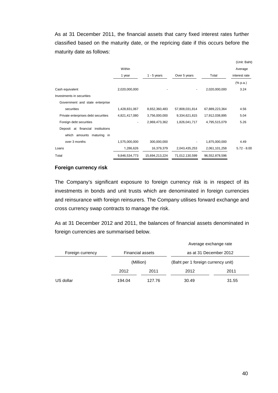As at 31 December 2011, the financial assets that carry fixed interest rates further classified based on the maturity date, or the repricing date if this occurs before the maturity date as follows:

|                                         |                          |                |                          |                | (Unit: Baht)                |
|-----------------------------------------|--------------------------|----------------|--------------------------|----------------|-----------------------------|
|                                         | Within                   |                |                          |                | Average                     |
|                                         | 1 year                   | $1 - 5$ years  | Over 5 years             | Total          | interest rate               |
|                                         |                          |                |                          |                | $(% \mathbb{R}^2)$ (% p.a.) |
| Cash equivalent                         | 2,020,000,000            |                | $\overline{\phantom{a}}$ | 2,020,000,000  | 3.24                        |
| Investments in securities               |                          |                |                          |                |                             |
| Government and state enterprise         |                          |                |                          |                |                             |
| securities                              | 1,428,831,067            | 8,652,360,483  | 57,808,031,814           | 67,889,223,364 | 4.56                        |
| Private enterprises debt securities     | 4,821,417,080            | 3,756,000,000  | 9,334,621,815            | 17,912,038,895 | 5.04                        |
| Foreign debt securities                 | $\overline{\phantom{a}}$ | 2,969,473,362  | 1,826,041,717            | 4,795,515,079  | 5.26                        |
| financial<br>Deposit at<br>institutions |                          |                |                          |                |                             |
| which amounts maturing in               |                          |                |                          |                |                             |
| over 3 months                           | 1,575,000,000            | 300,000,000    |                          | 1,875,000,000  | 4.49                        |
| Loans                                   | 1,286,626                | 16,379,379     | 2,043,435,253            | 2,061,101,258  | $5.72 - 8.00$               |
| Total                                   | 9,846,534,773            | 15,694,213,224 | 71,012,130,599           | 96,552,878,596 |                             |

## **Foreign currency risk**

 The Company's significant exposure to foreign currency risk is in respect of its investments in bonds and unit trusts which are denominated in foreign currencies and reinsurance with foreign reinsurers. The Company utilises forward exchange and cross currency swap contracts to manage the risk.

 As at 31 December 2012 and 2011, the balances of financial assets denominated in foreign currencies are summarised below.

|                  |                         |        | Average exchange rate              |       |  |
|------------------|-------------------------|--------|------------------------------------|-------|--|
| Foreign currency | <b>Financial assets</b> |        | as at 31 December 2012             |       |  |
|                  | (Million)               |        | (Baht per 1 foreign currency unit) |       |  |
|                  | 2012                    | 2011   | 2012                               | 2011  |  |
| US dollar        | 194.04                  | 127.76 | 30.49                              | 31.55 |  |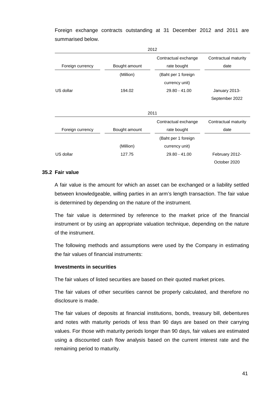|                  |               | 2012                 |                      |
|------------------|---------------|----------------------|----------------------|
|                  |               | Contractual exchange | Contractual maturity |
| Foreign currency | Bought amount | rate bought          | date                 |
|                  | (Million)     | (Baht per 1 foreign  |                      |
|                  |               | currency unit)       |                      |
| US dollar        | 194.02        | $29.80 - 41.00$      | January 2013-        |
|                  |               |                      | September 2022       |
|                  |               | 2011                 |                      |
|                  |               | Contractual exchange | Contractual maturity |
| Foreign currency | Bought amount | rate bought          | date                 |
|                  |               | (Baht per 1 foreign  |                      |
|                  | (Million)     | currency unit)       |                      |
| US dollar        | 127.75        | $29.80 - 41.00$      | February 2012-       |
|                  |               |                      | October 2020         |

 Foreign exchange contracts outstanding at 31 December 2012 and 2011 are summarised below.

### **35.2 Fair value**

 A fair value is the amount for which an asset can be exchanged or a liability settled between knowledgeable, willing parties in an arm's length transaction. The fair value is determined by depending on the nature of the instrument.

 The fair value is determined by reference to the market price of the financial instrument or by using an appropriate valuation technique, depending on the nature of the instrument.

 The following methods and assumptions were used by the Company in estimating the fair values of financial instruments:

#### **Investments in securities**

The fair values of listed securities are based on their quoted market prices.

 The fair values of other securities cannot be properly calculated, and therefore no disclosure is made.

 The fair values of deposits at financial institutions, bonds, treasury bill, debentures and notes with maturity periods of less than 90 days are based on their carrying values. For those with maturity periods longer than 90 days, fair values are estimated using a discounted cash flow analysis based on the current interest rate and the remaining period to maturity.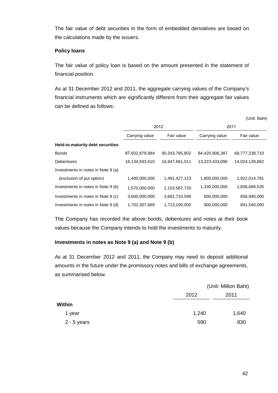The fair value of debt securities in the form of embedded derivatives are based on the calculations made by the issuers.

### **Policy loans**

 The fair value of policy loan is based on the amount presented in the statement of financial position.

 As at 31 December 2012 and 2011, the aggregate carrying values of the Company's financial instruments which are significantly different from their aggregate fair values can be defined as follows:

|                                         |                |                |                | (Unit: Baht)   |
|-----------------------------------------|----------------|----------------|----------------|----------------|
|                                         | 2012           |                | 2011           |                |
|                                         | Carrying value | Fair value     | Carrying value | Fair value     |
| <b>Held-to-maturity debt securities</b> |                |                |                |                |
| <b>Bonds</b>                            | 87,602,879,984 | 90,343,785,802 | 64,420,906,387 | 68,777,238,710 |
| <b>Debentures</b>                       | 16,134,593,610 | 16,947,661,011 | 13,223,433,090 | 14,024,139,862 |
| Investments in notes in Note 9 (a)      |                |                |                |                |
| (exclusion of put option)               | 1,400,000,000  | 1,491,427,123  | 1,800,000,000  | 1,922,014,781  |
| Investments in notes in Note 9 (b)      | 1,570,000,000  | 2,153,567,720  | 1,330,000,000  | 1,836,689,535  |
| Investments in notes in Note 9 (c)      | 3,600,000,000  | 3,662,710,596  | 600,000,000    | 656,940,000    |
| Investments in notes in Note 9 (d)      | 1,702,307,669  | 1,713,100,000  | 900,000,000    | 841,540,000    |

 The Company has recorded the above bonds, debentures and notes at their book values because the Company intends to hold the investments to maturity.

### **Investments in notes as Note 9 (a) and Note 9 (b)**

 As at 31 December 2012 and 2011, the Company may need to deposit additional amounts in the future under the promissory notes and bills of exchange agreements, as summarised below.

|               |       | (Unit: Million Baht) |  |  |
|---------------|-------|----------------------|--|--|
|               | 2012  | 2011                 |  |  |
| Within        |       |                      |  |  |
| 1 year        | 1,240 | 1,640                |  |  |
| $2 - 5$ years | 590   | 830                  |  |  |